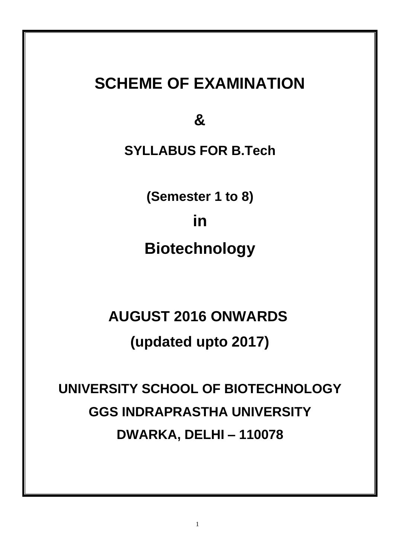## **SCHEME OF EXAMINATION**

**&**

**SYLLABUS FOR B.Tech**

**(Semester 1 to 8) in Biotechnology**

# **AUGUST 2016 ONWARDS (updated upto 2017)**

**UNIVERSITY SCHOOL OF BIOTECHNOLOGY GGS INDRAPRASTHA UNIVERSITY DWARKA, DELHI – 110078**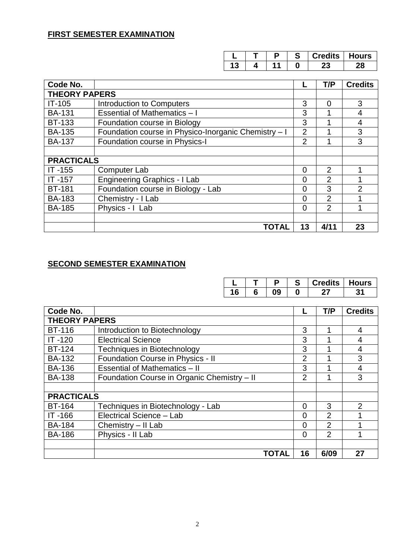|    | п | e<br>œ | Credits   Hours |  |
|----|---|--------|-----------------|--|
| IJ |   |        |                 |  |

| Code No.             |                                                      |                | T/P            | <b>Credits</b> |
|----------------------|------------------------------------------------------|----------------|----------------|----------------|
| <b>THEORY PAPERS</b> |                                                      |                |                |                |
| $IT-105$             | Introduction to Computers                            | 3              | $\Omega$       | 3              |
| <b>BA-131</b>        | <b>Essential of Mathematics - I</b>                  | 3              |                | 4              |
| <b>BT-133</b>        | Foundation course in Biology                         | 3              |                | 4              |
| <b>BA-135</b>        | Foundation course in Physico-Inorganic Chemistry - I | $\overline{2}$ |                | 3              |
| <b>BA-137</b>        | Foundation course in Physics-I                       | $\overline{2}$ | 1              | 3              |
|                      |                                                      |                |                |                |
| <b>PRACTICALS</b>    |                                                      |                |                |                |
| $IT -155$            | <b>Computer Lab</b>                                  | 0              | $\overline{2}$ | 4              |
| IT-157               | <b>Engineering Graphics - I Lab</b>                  | 0              | $\overline{2}$ |                |
| <b>BT-181</b>        | Foundation course in Biology - Lab                   | 0              | 3              | $\overline{2}$ |
| <b>BA-183</b>        | Chemistry - I Lab                                    | 0              | $\overline{2}$ |                |
| <b>BA-185</b>        | Physics - I Lab                                      | 0              | 2              |                |
|                      |                                                      |                |                |                |
|                      | <b>TOTAL</b>                                         | 13             | 4/11           | 23             |

### **SECOND SEMESTER EXAMINATION**

|    |  | edits | lours |
|----|--|-------|-------|
| ч. |  |       |       |

| Code No.             |                                             |                | T/P            | <b>Credits</b> |
|----------------------|---------------------------------------------|----------------|----------------|----------------|
| <b>THEORY PAPERS</b> |                                             |                |                |                |
| <b>BT-116</b>        | Introduction to Biotechnology               | 3              |                | 4              |
| $IT -120$            | <b>Electrical Science</b>                   | 3              |                | 4              |
| <b>BT-124</b>        | <b>Techniques in Biotechnology</b>          | 3              |                | $\overline{4}$ |
| <b>BA-132</b>        | Foundation Course in Physics - II           | $\overline{2}$ |                | 3              |
| <b>BA-136</b>        | <b>Essential of Mathematics - II</b>        | 3              |                | 4              |
| <b>BA-138</b>        | Foundation Course in Organic Chemistry - II | $\overline{2}$ |                | 3              |
|                      |                                             |                |                |                |
| <b>PRACTICALS</b>    |                                             |                |                |                |
| <b>BT-164</b>        | Techniques in Biotechnology - Lab           | 0              | 3              | $\overline{2}$ |
| IT-166               | Electrical Science - Lab                    | 0              | $\overline{2}$ |                |
| <b>BA-184</b>        | Chemistry - II Lab                          | $\Omega$       | $\overline{2}$ |                |
| <b>BA-186</b>        | Physics - II Lab                            | 0              | $\overline{2}$ |                |
|                      |                                             |                |                |                |
|                      | <b>TOTAL</b>                                | 16             | 6/09           | 27             |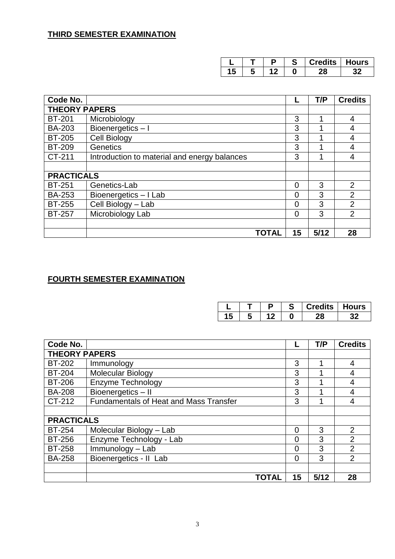|   |  | Credits   Hours |  |
|---|--|-----------------|--|
| ю |  |                 |  |

| Code No.             |                                              |    | T/P  | <b>Credits</b> |
|----------------------|----------------------------------------------|----|------|----------------|
| <b>THEORY PAPERS</b> |                                              |    |      |                |
| <b>BT-201</b>        | Microbiology                                 | 3  |      | 4              |
| <b>BA-203</b>        | Bioenergetics-I                              | 3  |      | 4              |
| <b>BT-205</b>        | Cell Biology                                 | 3  |      | 4              |
| <b>BT-209</b>        | <b>Genetics</b>                              | 3  |      | 4              |
| CT-211               | Introduction to material and energy balances | 3  |      | 4              |
|                      |                                              |    |      |                |
| <b>PRACTICALS</b>    |                                              |    |      |                |
| <b>BT-251</b>        | Genetics-Lab                                 | 0  | 3    | $\overline{2}$ |
| <b>BA-253</b>        | Bioenergetics - I Lab                        | 0  | 3    | $\overline{2}$ |
| <b>BT-255</b>        | Cell Biology - Lab                           | 0  | 3    | $\overline{2}$ |
| <b>BT-257</b>        | Microbiology Lab                             | 0  | 3    | $\overline{2}$ |
|                      |                                              |    |      |                |
|                      | TOTAL                                        | 15 | 5/12 | 28             |

### **FOURTH SEMESTER EXAMINATION**

|  |  | credits l | Hours |
|--|--|-----------|-------|
|  |  |           |       |

| Code No.             |                                               |                | T/P  | <b>Credits</b> |
|----------------------|-----------------------------------------------|----------------|------|----------------|
| <b>THEORY PAPERS</b> |                                               |                |      |                |
| <b>BT-202</b>        | Immunology                                    | 3              | 1    | 4              |
| <b>BT-204</b>        | <b>Molecular Biology</b>                      | 3              |      | $\overline{4}$ |
| <b>BT-206</b>        | Enzyme Technology                             | 3              |      | 4              |
| <b>BA-208</b>        | Bioenergetics-II                              | 3              |      | 4              |
| CT-212               | <b>Fundamentals of Heat and Mass Transfer</b> | 3              |      | $\overline{4}$ |
|                      |                                               |                |      |                |
| <b>PRACTICALS</b>    |                                               |                |      |                |
| <b>BT-254</b>        | Molecular Biology - Lab                       | 0              | 3    | $\overline{2}$ |
| <b>BT-256</b>        | Enzyme Technology - Lab                       | $\Omega$       | 3    | $\overline{2}$ |
| <b>BT-258</b>        | Immunology - Lab                              | 0              | 3    | $\overline{2}$ |
| <b>BA-258</b>        | Bioenergetics - II Lab                        | $\overline{0}$ | 3    | 2              |
|                      |                                               |                |      |                |
|                      | TOTAL                                         | 15             | 5/12 | 28             |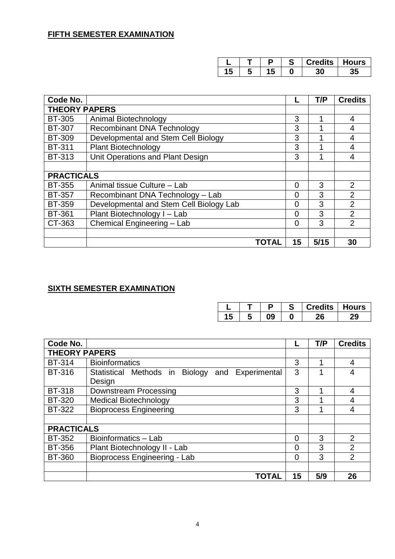|  |  | edits | Hours |
|--|--|-------|-------|
|  |  |       |       |

| Code No.             |                                         |                | T/P  | <b>Credits</b> |
|----------------------|-----------------------------------------|----------------|------|----------------|
| <b>THEORY PAPERS</b> |                                         |                |      |                |
| <b>BT-305</b>        | Animal Biotechnology                    | 3              |      | 4              |
| <b>BT-307</b>        | <b>Recombinant DNA Technology</b>       | 3              |      | 4              |
| <b>BT-309</b>        | Developmental and Stem Cell Biology     | 3              |      | $\overline{4}$ |
| <b>BT-311</b>        | <b>Plant Biotechnology</b>              | 3              |      | $\overline{4}$ |
| <b>BT-313</b>        | Unit Operations and Plant Design        | 3              |      | $\overline{4}$ |
|                      |                                         |                |      |                |
| <b>PRACTICALS</b>    |                                         |                |      |                |
| <b>BT-355</b>        | Animal tissue Culture - Lab             | $\overline{0}$ | 3    | 2              |
| <b>BT-357</b>        | Recombinant DNA Technology - Lab        | 0              | 3    | $\overline{2}$ |
| <b>BT-359</b>        | Developmental and Stem Cell Biology Lab | $\overline{0}$ | 3    | $\overline{2}$ |
| <b>BT-361</b>        | Plant Biotechnology I - Lab             | 0              | 3    | $\overline{2}$ |
| CT-363               | Chemical Engineering - Lab              | 0              | 3    | $\overline{2}$ |
|                      |                                         |                |      |                |
|                      | <b>TOTAL</b>                            | 15             | 5/15 | 30             |

## **SIXTH SEMESTER EXAMINATION**

|    |  | r | Credits   Hours |  |
|----|--|---|-----------------|--|
| 13 |  |   |                 |  |

| Code No.             |                                                 |                | T/P | <b>Credits</b> |
|----------------------|-------------------------------------------------|----------------|-----|----------------|
| <b>THEORY PAPERS</b> |                                                 |                |     |                |
| <b>BT-314</b>        | <b>Bioinformatics</b>                           | 3              |     | 4              |
| <b>BT-316</b>        | Statistical Methods in Biology and Experimental | 3              |     | 4              |
|                      | Design                                          |                |     |                |
| <b>BT-318</b>        | Downstream Processing                           | 3              |     | 4              |
| <b>BT-320</b>        | <b>Medical Biotechnology</b>                    | 3              |     | $\overline{4}$ |
| <b>BT-322</b>        | <b>Bioprocess Engineering</b>                   | 3              |     | 4              |
|                      |                                                 |                |     |                |
| <b>PRACTICALS</b>    |                                                 |                |     |                |
| <b>BT-352</b>        | Bioinformatics - Lab                            | $\Omega$       | 3   | 2              |
| <b>BT-356</b>        | Plant Biotechnology II - Lab                    | 0              | 3   | 2              |
| <b>BT-360</b>        | Bioprocess Engineering - Lab                    | $\overline{0}$ | 3   | $\overline{2}$ |
|                      |                                                 |                |     |                |
|                      | TOTAL                                           | 15             | 5/9 | 26             |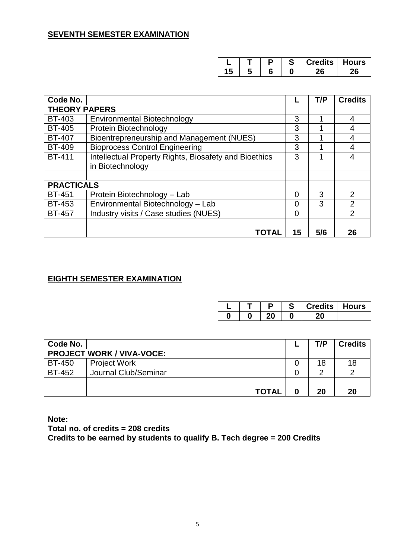|   | г | c | edits | Hours |
|---|---|---|-------|-------|
| w |   |   |       |       |

| Code No.             |                                                       |                | T/P | <b>Credits</b> |
|----------------------|-------------------------------------------------------|----------------|-----|----------------|
| <b>THEORY PAPERS</b> |                                                       |                |     |                |
| <b>BT-403</b>        | <b>Environmental Biotechnology</b>                    | 3              |     | $\overline{4}$ |
| <b>BT-405</b>        | Protein Biotechnology                                 | 3              |     | $\overline{4}$ |
| <b>BT-407</b>        | Bioentrepreneurship and Management (NUES)             | 3              |     | $\overline{4}$ |
| <b>BT-409</b>        | <b>Bioprocess Control Engineering</b>                 | 3              |     | $\overline{4}$ |
| <b>BT-411</b>        | Intellectual Property Rights, Biosafety and Bioethics | 3              |     | $\overline{4}$ |
|                      | in Biotechnology                                      |                |     |                |
|                      |                                                       |                |     |                |
| <b>PRACTICALS</b>    |                                                       |                |     |                |
| <b>BT-451</b>        | Protein Biotechnology - Lab                           | 0              | 3   | $\overline{2}$ |
| <b>BT-453</b>        | Environmental Biotechnology - Lab                     | $\Omega$       | 3   | $\overline{2}$ |
| <b>BT-457</b>        | Industry visits / Case studies (NUES)                 | $\overline{0}$ |     | $\overline{2}$ |
|                      |                                                       |                |     |                |
|                      | TOTAI                                                 | 15             | 5/6 | 26             |

### **EIGHTH SEMESTER EXAMINATION**

|  |  | <b>Credits   Hours</b> |  |
|--|--|------------------------|--|
|  |  |                        |  |

| Code No.      |                                  | T/P | <b>Credits</b> |
|---------------|----------------------------------|-----|----------------|
|               | <b>PROJECT WORK / VIVA-VOCE:</b> |     |                |
| <b>BT-450</b> | <b>Project Work</b>              | 18  | 18             |
| <b>BT-452</b> | Journal Club/Seminar             |     |                |
|               |                                  |     |                |
|               | <b>TOTAL</b>                     | 20  | 20             |

**Note:**

**Total no. of credits = 208 credits Credits to be earned by students to qualify B. Tech degree = 200 Credits**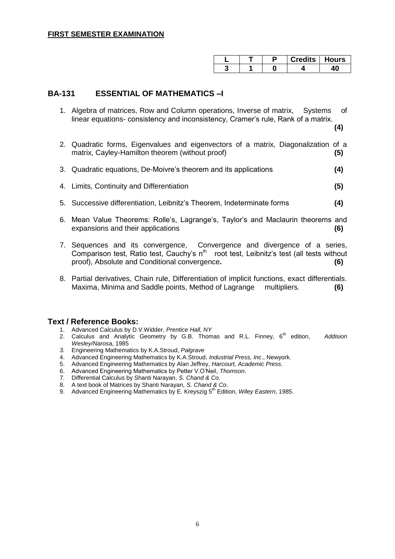|  |  | <b>Credits   Hours</b> |
|--|--|------------------------|
|  |  |                        |

### **BA-131 ESSENTIAL OF MATHEMATICS –I**

1. Algebra of matrices, Row and Column operations, Inverse of matrix, Systems of linear equations- consistency and inconsistency, Cramer's rule, Rank of a matrix.

**(4)**

- 2. Quadratic forms, Eigenvalues and eigenvectors of a matrix, Diagonalization of a matrix, Cayley-Hamilton theorem (without proof) **(5)**
- 3. Quadratic equations, De-Moivre's theorem and its applications **(4)**
- 4. Limits, Continuity and Differentiation **(5)**
- 5. Successive differentiation, Leibnitz's Theorem, Indeterminate forms **(4)**
- 6. Mean Value Theorems: Rolle's, Lagrange's, Taylor's and Maclaurin theorems and expansions and their applications **(6)**
- 7. Sequences and its convergence, Convergence and divergence of a series, Comparison test, Ratio test, Cauchy's  $n^{th}$  root test, Leibnitz's test (all tests without proof), Absolute and Conditional convergence**. (6)**
- 8. Partial derivatives, Chain rule, Differentiation of implicit functions, exact differentials. Maxima, Minima and Saddle points, Method of Lagrange multipliers. **(6)**

- 1. Advanced Calculus by D.V.Widder, *Prentice Hall, NY*
- 2. Calculus and Analytic Geometry by G.B. Thomas and R.L. Finney, 6<sup>th</sup> edition, Addision *Wesley/Naros*a, 1985
- *3.* Engineering Mathematics by K.A.Stroud, *Palgrave*
- 4. Advanced Engineering Mathematics by K.A.Stroud, *Industrial Press, Inc*., Newyork.
- 5. Advanced Engineering Mathematics by Alan Jeffrey, *Harcourt, Academic Press*.
- 6. Advanced Engineering Mathematics by Petter V.O'Neil, *Thomson*.
- 7. Differential Calculus by Shanti Narayan, *S. Chand & Co*.
- 8. A text book of Matrices by Shanti Narayan, *S. Chand & Co*.
- 9. Advanced Engineering Mathematics by E. Kreyszig 5<sup>th</sup> Edition, *Wiley Eastern*, 1985.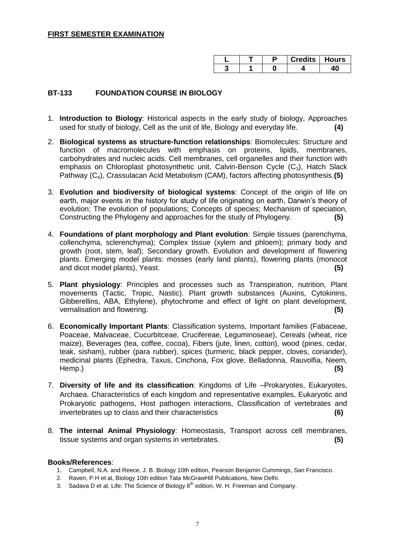|  | <b>Credits   Hours</b> |  |
|--|------------------------|--|
|  |                        |  |

### **BT-133 FOUNDATION COURSE IN BIOLOGY**

- 1. **Introduction to Biology**: Historical aspects in the early study of biology, Approaches used for study of biology, Cell as the unit of life, Biology and everyday life. **(4)**
- 2. **Biological systems as structure-function relationships**: Biomolecules: Structure and function of macromolecules with emphasis on proteins, lipids, membranes, carbohydrates and nucleic acids. Cell membranes, cell organelles and their function with emphasis on Chloroplast photosynthetic unit, Calvin-Benson Cycle  $(C_3)$ , Hatch Slack Pathway (C4), Crassulacan Acid Metabolism (CAM), factors affecting photosynthesis.**(5)**
- 3. **Evolution and biodiversity of biological systems**: Concept of the origin of life on earth, major events in the history for study of life originating on earth, Darwin's theory of evolution; The evolution of populations; Concepts of species; Mechanism of speciation, Constructing the Phylogeny and approaches for the study of Phylogeny. **(5)**
- 4. **Foundations of plant morphology and Plant evolution**: Simple tissues (parenchyma, collenchyma, sclerenchyma); Complex tissue (xylem and phloem); primary body and growth (root, stem, leaf); Secondary growth. Evolution and development of flowering plants. Emerging model plants: mosses (early land plants), flowering plants (monocot and dicot model plants), Yeast. **(5)**
- 5. **Plant physiology**: Principles and processes such as Transpiration, nutrition, Plant movements (Tactic, Tropic, Nastic). Plant growth substances (Auxins, Cytokinins, Gibberellins, ABA, Ethylene), phytochrome and effect of light on plant development, vernalisation and flowering. **(5)**
- 6. **Economically Important Plants**: Classification systems, Important families (Fabaceae, Poaceae, Malvaceae, Cucurbitceae, Crucifereae, Leguminoseae), Cereals (wheat, rice maize), Beverages (tea, coffee, cocoa), Fibers (jute, linen, cotton), wood (pines, cedar, teak, sisham), rubber (para rubber), spices (turmeric, black pepper, cloves, coriander), medicinal plants (Ephedra, Taxus, Cinchona, Fox glove, Belladonna, Rauvolfia, Neem, Hemp.) **(5)**
- 7. **Diversity of life and its classification**: Kingdoms of Life –Prokaryotes, Eukaryotes, Archaea. Characteristics of each kingdom and representative examples, Eukaryotic and Prokaryotic pathogens, Host pathogen interactions, Classification of vertebrates and invertebrates up to class and their characteristics **(6)**
- 8. **The internal Animal Physiology**: Homeostasis, Transport across cell membranes, tissue systems and organ systems in vertebrates. **(5)**

#### **Books/References**:

- 1. Campbell, N.A. and Reece, J. B. Biology 10th edition, Pearson Benjamin Cummings, San Francisco.
- 2. Raven, P.H et al, Biology 10th edition Tata McGrawHill Publications, New Delhi.
- 3. Sadava D et al, Life: The Science of Biology  $8<sup>th</sup>$  edition, W. H. Freeman and Company.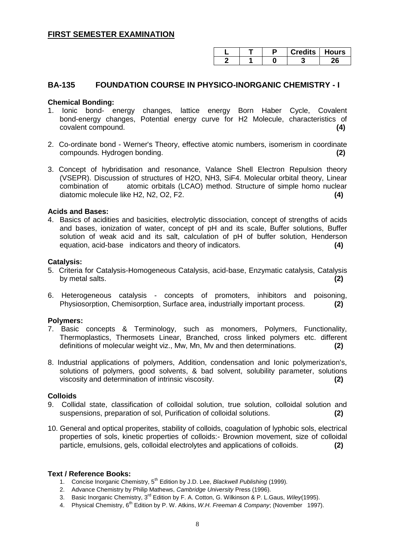|  | <b>Credits   Hours</b> |  |
|--|------------------------|--|
|  |                        |  |

### **BA-135 FOUNDATION COURSE IN PHYSICO-INORGANIC CHEMISTRY - I**

#### **Chemical Bonding:**

- 1. Ionic bond- energy changes, lattice energy Born Haber Cycle, Covalent bond-energy changes, Potential energy curve for H2 Molecule, characteristics of covalent compound. **(4)**
- 2. Co-ordinate bond Werner's Theory, effective atomic numbers, isomerism in coordinate compounds. Hydrogen bonding. **(2)**
- 3. Concept of hybridisation and resonance, Valance Shell Electron Repulsion theory (VSEPR). Discussion of structures of H2O, NH3, SiF4. Molecular orbital theory, Linear combination of atomic orbitals (LCAO) method. Structure of simple homo nuclear diatomic molecule like H2, N2, O2, F2. **(4)**

#### **Acids and Bases:**

4. Basics of acidities and basicities, electrolytic dissociation, concept of strengths of acids and bases, ionization of water, concept of pH and its scale, Buffer solutions, Buffer solution of weak acid and its salt, calculation of pH of buffer solution, Henderson equation, acid-base indicators and theory of indicators. **(4)**

#### **Catalysis:**

- 5. Criteria for Catalysis-Homogeneous Catalysis, acid-base, Enzymatic catalysis, Catalysis by metal salts. **(2)**
- 6. Heterogeneous catalysis concepts of promoters, inhibitors and poisoning, Physiosorption, Chemisorption, Surface area, industrially important process. **(2)**

#### **Polymers:**

- 7. Basic concepts & Terminology, such as monomers, Polymers, Functionality, Thermoplastics, Thermosets Linear, Branched, cross linked polymers etc. different definitions of molecular weight viz., Mw, Mn, Mv and then determinations. **(2)**
- 8. Industrial applications of polymers, Addition, condensation and Ionic polymerization's, solutions of polymers, good solvents, & bad solvent, solubility parameter, solutions viscosity and determination of intrinsic viscosity. **(2)**

#### **Colloids**

- 9. Collidal state, classification of colloidal solution, true solution, colloidal solution and suspensions, preparation of sol, Purification of colloidal solutions. **(2)**
- 10. General and optical properites, stability of colloids, coagulation of lyphobic sols, electrical properties of sols, kinetic properties of colloids:- Brownion movement, size of colloidal particle, emulsions, gels, colloidal electrolytes and applications of colloids. **(2)**

- 1. Concise Inorganic Chemistry, 5<sup>th</sup> Edition by J.D. Lee, *Blackwell Publishing* (1999).
- 2. Advance Chemistry by Philip Mathews, *Cambridge University* Press (1996).
- 3. Basic Inorganic Chemistry, 3rd Edition by F. A. Cotton, G. Wilkinson & P. L.Gaus, *Wiley*(1995).
- 4. Physical Chemistry, 6th Edition by P. W. Atkins, *W.H. Freeman & Company*; (November 1997).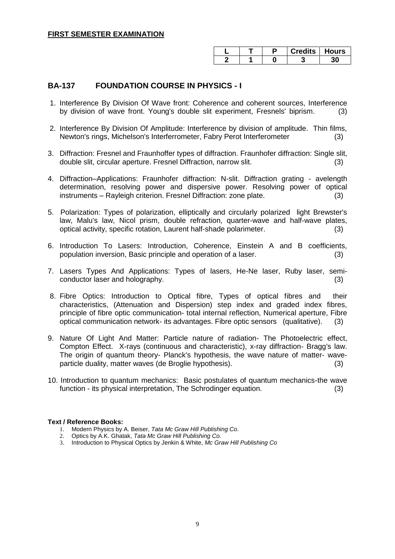|  |  | Credits  Hours |
|--|--|----------------|
|  |  |                |

### **BA-137 FOUNDATION COURSE IN PHYSICS - I**

- 1. Interference By Division Of Wave front: Coherence and coherent sources, Interference by division of wave front. Young's double slit experiment, Fresnels' biprism. (3)
- 2. Interference By Division Of Amplitude: Interference by division of amplitude. Thin films, Newton's rings, Michelson's Interferrometer, Fabry Perot Interferometer (3)
- 3. Diffraction: Fresnel and Fraunhoffer types of diffraction. Fraunhofer diffraction: Single slit, double slit, circular aperture. Fresnel Diffraction, narrow slit. (3)
- 4. Diffraction–Applications: Fraunhofer diffraction: N-slit. Diffraction grating avelength determination, resolving power and dispersive power. Resolving power of optical instruments – Rayleigh criterion. Fresnel Diffraction: zone plate. (3)
- 5. Polarization: Types of polarization, elliptically and circularly polarized light Brewster's law, Malu's law, Nicol prism, double refraction, quarter-wave and half-wave plates, optical activity, specific rotation, Laurent half-shade polarimeter. (3)
- 6. Introduction To Lasers: Introduction, Coherence, Einstein A and B coefficients, population inversion, Basic principle and operation of a laser. (3)
- 7. Lasers Types And Applications: Types of lasers, He-Ne laser, Ruby laser, semiconductor laser and holography. (3)
- 8. Fibre Optics: Introduction to Optical fibre, Types of optical fibres and their characteristics, (Attenuation and Dispersion) step index and graded index fibres, principle of fibre optic communication- total internal reflection, Numerical aperture, Fibre optical communication network- its advantages. Fibre optic sensors (qualitative). (3)
- 9. Nature Of Light And Matter: Particle nature of radiation- The Photoelectric effect, Compton Effect. X-rays (continuous and characteristic), x-ray diffraction- Bragg's law. The origin of quantum theory- Planck's hypothesis, the wave nature of matter- waveparticle duality, matter waves (de Broglie hypothesis). (3)
- 10. Introduction to quantum mechanics: Basic postulates of quantum mechanics-the wave function - its physical interpretation, The Schrodinger equation. (3)

- 1. Modern Physics by A. Beiser, *Tata Mc Graw Hill Publishing Co*.
- 2. Optics by A.K. Ghatak, *Tata Mc Graw Hill Publishing Co.*
- 3. Introduction to Physical Optics by Jenkin & White, *Mc Graw Hill Publishing Co*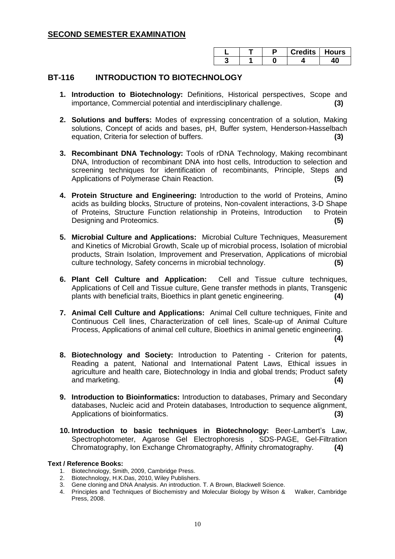|  | Credits   Hours |  |
|--|-----------------|--|
|  |                 |  |

#### **BT-116 INTRODUCTION TO BIOTECHNOLOGY**

- **1. Introduction to Biotechnology:** Definitions, Historical perspectives, Scope and importance, Commercial potential and interdisciplinary challenge. **(3)**
- **2. Solutions and buffers:** Modes of expressing concentration of a solution, Making solutions, Concept of acids and bases, pH, Buffer system, Henderson-Hasselbach equation, Criteria for selection of buffers. **(3)**
- **3. Recombinant DNA Technology:** Tools of rDNA Technology, Making recombinant DNA, Introduction of recombinant DNA into host cells, Introduction to selection and screening techniques for identification of recombinants, Principle, Steps and Applications of Polymerase Chain Reaction. **(5)**
- **4. Protein Structure and Engineering:** Introduction to the world of Proteins, Amino acids as building blocks, Structure of proteins, Non-covalent interactions, 3-D Shape of Proteins, Structure Function relationship in Proteins, Introduction to Protein Designing and Proteomics. **(5)**
- **5. Microbial Culture and Applications:** Microbial Culture Techniques, Measurement and Kinetics of Microbial Growth, Scale up of microbial process, Isolation of microbial products, Strain Isolation, Improvement and Preservation, Applications of microbial culture technology, Safety concerns in microbial technology. **(5)**
- **6. Plant Cell Culture and Application:** Cell and Tissue culture techniques, Applications of Cell and Tissue culture, Gene transfer methods in plants, Transgenic plants with beneficial traits, Bioethics in plant genetic engineering. **(4)**
- **7. Animal Cell Culture and Applications:** Animal Cell culture techniques, Finite and Continuous Cell lines, Characterization of cell lines, Scale-up of Animal Culture Process, Applications of animal cell culture, Bioethics in animal genetic engineering.

**(4)**

- **8. Biotechnology and Society:** Introduction to Patenting Criterion for patents, Reading a patent, National and International Patent Laws, Ethical issues in agriculture and health care, Biotechnology in India and global trends; Product safety and marketing. **(4)**
- **9. Introduction to Bioinformatics:** Introduction to databases, Primary and Secondary databases, Nucleic acid and Protein databases, Introduction to sequence alignment, Applications of bioinformatics. **(3)**
- **10. Introduction to basic techniques in Biotechnology:** Beer-Lambert's Law, Spectrophotometer, Agarose Gel Electrophoresis , SDS-PAGE, Gel-Filtration Chromatography, Ion Exchange Chromatography, Affinity chromatography. **(4)**

- 1. Biotechnology, Smith, 2009, Cambridge Press.
- 2. Biotechnology, H.K.Das, 2010, Wiley Publishers.
- 3. Gene cloning and DNA Analysis. An introduction. T. A Brown, Blackwell Science.
- 4. Principles and Techniques of Biochemistry and Molecular Biology by Wilson & Walker, Cambridge Press, 2008.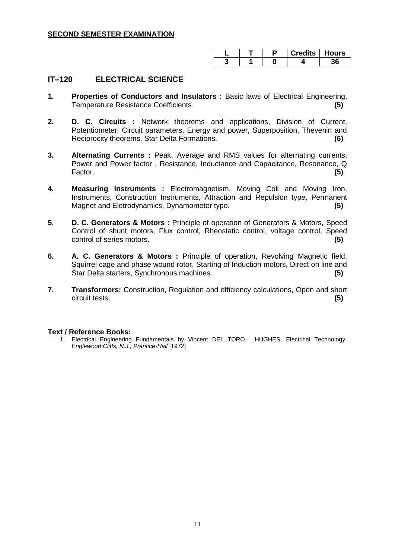|  | Credits   Hours |  |
|--|-----------------|--|
|  |                 |  |

### **IT–120 ELECTRICAL SCIENCE**

- **1. Properties of Conductors and Insulators :** Basic laws of Electrical Engineering, Temperature Resistance Coefficients. **(5)**
- **2. D. C. Circuits :** Network theorems and applications, Division of Current, Potentiometer, Circuit parameters, Energy and power, Superposition, Thevenin and Reciprocity theorems, Star Delta Formations. **(6)**
- **3. Alternating Currents :** Peak, Average and RMS values for alternating currents, Power and Power factor , Resistance, Inductance and Capacitance, Resonance, Q Factor. **(5)**
- **4. Measuring Instruments :** Electromagnetism, Moving Coli and Moving Iron, Instruments, Construction Instruments, Attraction and Repulsion type, Permanent Magnet and Eletrodynamics, Dynamometer type. **(5)**
- **5. D. C. Generators & Motors :** Principle of operation of Generators & Motors, Speed Control of shunt motors, Flux control, Rheostatic control, voltage control, Speed control of series motors. **(5)**
- **6. A. C. Generators & Motors :** Principle of operation, Revolving Magnetic field, Squirrel cage and phase wound rotor, Starting of Induction motors, Direct on line and Star Delta starters, Synchronous machines. **(5)**
- **7. Transformers:** Construction, Regulation and efficiency calculations, Open and short circuit tests. **(5)**

#### **Text / Reference Books:**

1. Electrical Engineering Fundamentals by Vincent DEL TORO. HUGHES, Electrical Technology. *Englewood Cliffs, N.J., Prentice-Hall* [1972]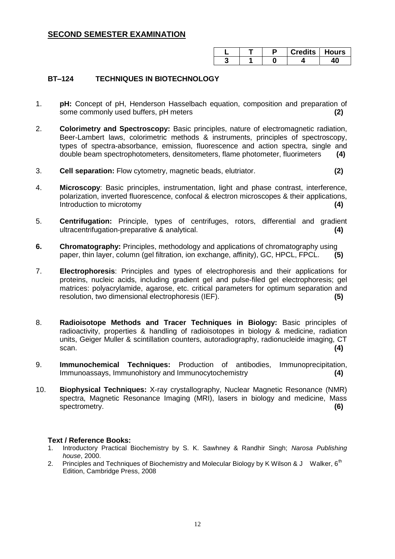|  |  | redits    Hours |
|--|--|-----------------|
|  |  |                 |

### **BT–124 TECHNIQUES IN BIOTECHNOLOGY**

- 1. **pH:** Concept of pH, Henderson Hasselbach equation, composition and preparation of some commonly used buffers, pH meters **(2)**
- 2. **Colorimetry and Spectroscopy:** Basic principles, nature of electromagnetic radiation, Beer-Lambert laws, colorimetric methods & instruments, principles of spectroscopy, types of spectra-absorbance, emission, fluorescence and action spectra, single and double beam spectrophotometers, densitometers, flame photometer, fluorimeters **(4)**
- 3. **Cell separation:** Flow cytometry, magnetic beads, elutriator. **(2)**
- 4. **Microscopy**: Basic principles, instrumentation, light and phase contrast, interference, polarization, inverted fluorescence, confocal & electron microscopes & their applications, Introduction to microtomy **(4) (4)**
- 5. **Centrifugation:** Principle, types of centrifuges, rotors, differential and gradient ultracentrifugation-preparative & analytical. **(4)**
- **6. Chromatography:** Principles, methodology and applications of chromatography using paper, thin layer, column (gel filtration, ion exchange, affinity), GC, HPCL, FPCL. **(5)**
- 7. **Electrophoresis**: Principles and types of electrophoresis and their applications for proteins, nucleic acids, including gradient gel and pulse-filed gel electrophoresis; gel matrices: polyacrylamide, agarose, etc. critical parameters for optimum separation and resolution, two dimensional electrophoresis (IEF). **(5)**
- 8. **Radioisotope Methods and Tracer Techniques in Biology:** Basic principles of radioactivity, properties & handling of radioisotopes in biology & medicine, radiation units, Geiger Muller & scintillation counters, autoradiography, radionucleide imaging, CT scan. **(4)**
- 9. **Immunochemical Techniques:** Production of antibodies, Immunoprecipitation, Immunoassays, Immunohistory and Immunocytochemistry **(4)**
- 10. **Biophysical Techniques:** X-ray crystallography, Nuclear Magnetic Resonance (NMR) spectra, Magnetic Resonance Imaging (MRI), lasers in biology and medicine, Mass spectrometry. **(6)** spectrometry. **(6)**

- 1. Introductory Practical Biochemistry by S. K. Sawhney & Randhir Singh; *Narosa Publishing house*, 2000.
- 2. Principles and Techniques of Biochemistry and Molecular Biology by K Wilson & J Walker,  $6<sup>th</sup>$ Edition, Cambridge Press, 2008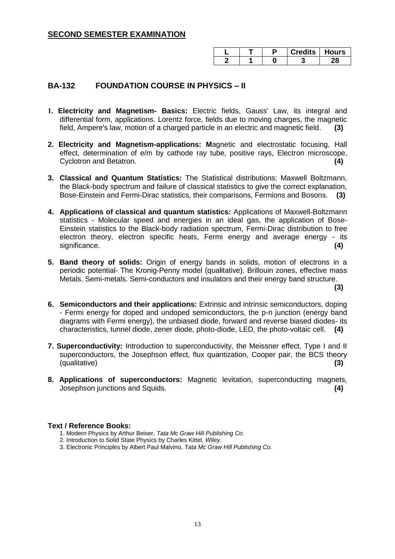|  |  | Credits I Hours |
|--|--|-----------------|
|  |  |                 |

### **BA-132 FOUNDATION COURSE IN PHYSICS – II**

- **1. Electricity and Magnetism- Basics:** Electric fields, Gauss' Law, its integral and differential form, applications. Lorentz force, fields due to moving charges, the magnetic field, Ampere's law, motion of a charged particle in an electric and magnetic field. **(3)**
- **2. Electricity and Magnetism-applications: M**agnetic and electrostatic focusing, Hall effect, determination of e/m by cathode ray tube, positive rays, Electron microscope, Cyclotron and Betatron. **(4)**
- **3. Classical and Quantum Statistics:** The Statistical distributions: Maxwell Boltzmann, the Black-body spectrum and failure of classical statistics to give the correct explanation, Bose-Einstein and Fermi-Dirac statistics, their comparisons, Fermions and Bosons. **(3)**
- **4. Applications of classical and quantum statistics:** Applications of Maxwell-Boltzmann statistics - Molecular speed and energies in an ideal gas, the application of Bose-Einstein statistics to the Black-body radiation spectrum, Fermi-Dirac distribution to free electron theory, electron specific heats, Fermi energy and average energy - its significance. **(4) (4) (4) (4) (5) (4) (5) (4) (5) (4) (5) (4) (6) (4) (6) (6) (6) (6) (6) (6) (6) (6) (6) (6) (6) (6) (6) (6) (6) (6) (6) (6) (6) (6) (6)**
- **5. Band theory of solids:** Origin of energy bands in solids, motion of electrons in a periodic potential- The Kronig-Penny model (qualitative). Brillouin zones, effective mass Metals. Semi-metals. Semi-conductors and insulators and their energy band structure.

**(3)**

- **6. Semiconductors and their applications:** Extrinsic and intrinsic semiconductors, doping - Fermi energy for doped and undoped semiconductors, the p-n junction (energy band diagrams with Fermi energy), the unbiased diode, forward and reverse biased diodes- its characteristics, tunnel diode, zener diode, photo-diode, LED, the photo-voltaic cell. **(4)**
- **7. Superconductivity:** Introduction to superconductivity, the Meissner effect, Type I and II superconductors, the Josephson effect, flux quantization, Cooper pair, the BCS theory (qualitative) **(3)**
- **8. Applications of superconductors:** Magnetic levitation, superconducting magnets, Josephson junctions and Squids. **(4)**

- 1. Modern Physics by Arthur Beiser, *Tata Mc Graw Hill Publishing Co*.
- 2. Introduction to Solid State Physics by Charles Kittel, *Wiley.*
- 3. Electronic Principles by Albert Paul Malvino, *Tata Mc Graw Hill Publishing Co.*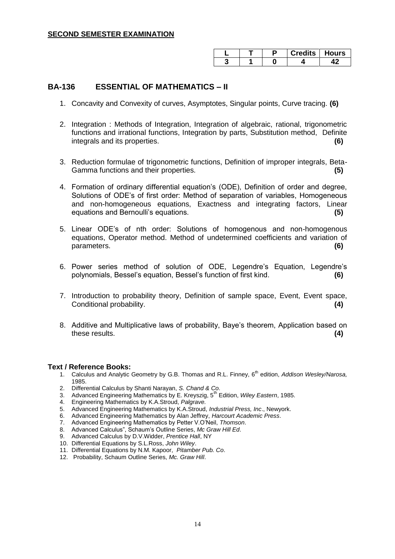|  |  | redits∣ Hoursٽ |
|--|--|----------------|
|  |  |                |

#### **BA-136 ESSENTIAL OF MATHEMATICS – II**

- 1. Concavity and Convexity of curves, Asymptotes, Singular points, Curve tracing. **(6)**
- 2. Integration : Methods of Integration, Integration of algebraic, rational, trigonometric functions and irrational functions, Integration by parts, Substitution method, Definite integrals and its properties. **(6)**
- 3. Reduction formulae of trigonometric functions, Definition of improper integrals, Beta-Gamma functions and their properties. **(5)**
- 4. Formation of ordinary differential equation's (ODE), Definition of order and degree, Solutions of ODE's of first order: Method of separation of variables, Homogeneous and non-homogeneous equations, Exactness and integrating factors, Linear equations and Bernoulli's equations. **(5)**
- 5. Linear ODE's of nth order: Solutions of homogenous and non-homogenous equations, Operator method. Method of undetermined coefficients and variation of parameters. **(6)**
- 6. Power series method of solution of ODE, Legendre's Equation, Legendre's polynomials, Bessel's equation, Bessel's function of first kind. **(6)**
- 7. Introduction to probability theory, Definition of sample space, Event, Event space, Conditional probability. **(4)**
- 8. Additive and Multiplicative laws of probability, Baye's theorem, Application based on these results. **(4)**

- 1. Calculus and Analytic Geometry by G.B. Thomas and R.L. Finney, 6<sup>th</sup> edition, *Addison Wesley/Narosa*, 1985.
- 2. Differential Calculus by Shanti Narayan, *S. Chand & Co*.
- 3. Advanced Engineering Mathematics by E. Kreyszig, 5<sup>th</sup> Edition, Wiley Eastern, 1985.
- 4. Engineering Mathematics by K.A.Stroud, *Palgrave.*
- 5. Advanced Engineering Mathematics by K.A.Stroud, *Industrial Press, Inc*., Newyork.
- 6. Advanced Engineering Mathematics by Alan Jeffrey, *Harcourt Academic Press*.
- 7. Advanced Engineering Mathematics by Petter V.O'Neil, *Thomson*.
- 8. Advanced Calculus", Schaum's Outline Series, *Mc Graw Hill Ed.*
- 9. Advanced Calculus by D.V.Widder, *Prentice Hall*, NY
- 10. Differential Equations by S.L.Ross, *John Wiley*.
- 11. Differential Equations by N.M. Kapoor, *Pitamber Pub. Co*.
- 12. Probability, Schaum Outline Series, *Mc. Graw Hill*.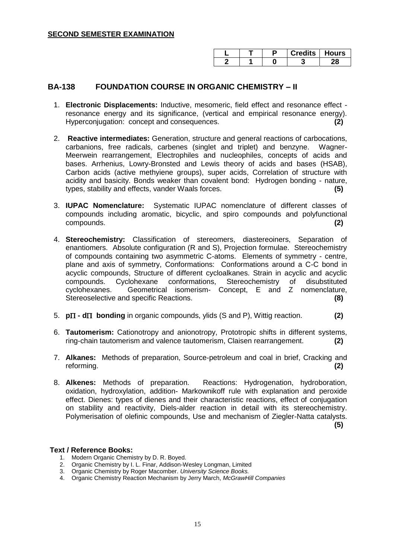|  | <b>Credits   Hours</b> |  |
|--|------------------------|--|
|  |                        |  |

### **BA-138 FOUNDATION COURSE IN ORGANIC CHEMISTRY – II**

- 1. **Electronic Displacements:** Inductive, mesomeric, field effect and resonance effect resonance energy and its significance, (vertical and empirical resonance energy). Hyperconjugation: concept and consequences. **(2)**
- 2. **Reactive intermediates:** Generation, structure and general reactions of carbocations, carbanions, free radicals, carbenes (singlet and triplet) and benzyne. Wagner-Meerwein rearrangement, Electrophiles and nucleophiles, concepts of acids and bases. Arrhenius, Lowry-Bronsted and Lewis theory of acids and bases (HSAB), Carbon acids (active methyiene groups), super acids, Correlation of structure with acidity and basicity. Bonds weaker than covalent bond: Hydrogen bonding - nature, types, stability and effects, vander Waals forces. **(5)**
- 3. **IUPAC Nomenclature:** Systematic IUPAC nomenclature of different classes of compounds including aromatic, bicyclic, and spiro compounds and polyfunctional compounds. **(2)**
- 4. **Stereochemistry:** Classification of stereomers, diastereoiners, Separation of enantiomers. Absolute configuration (R and S), Projection formulae. Stereochemistry of compounds containing two asymmetric C-atoms. Elements of symmetry - centre, plane and axis of symmetry, Conformations: Conformations around a C-C bond in acyclic compounds, Structure of different cycloalkanes. Strain in acyclic and acyclic compounds. Cyclohexane conformations, Stereochemistry of disubstituted cyclohexanes. Geometrical isomerism- Concept, E and Z nomenclature, Stereoselective and specific Reactions. **(8)**
- 5. **p** $\Pi$  **- d** $\Pi$  **bonding** in organic compounds, ylids (S and P), Wittig reaction. **(2)**
- 6. **Tautomerism:** Cationotropy and anionotropy, Prototropic shifts in different systems, ring-chain tautomerism and valence tautomerism, Claisen rearrangement. **(2)**
- 7. **Alkanes:** Methods of preparation, Source-petroleum and coal in brief, Cracking and reforming. **(2)**
- 8. **Alkenes:** Methods of preparation. Reactions: Hydrogenation, hydroboration, oxidation, hydroxylation, addition- Markownikoff rule with explanation and peroxide effect. Dienes: types of dienes and their characteristic reactions, effect of conjugation on stability and reactivity, Diels-alder reaction in detail with its stereochemistry. Polymerisation of olefinic compounds, Use and mechanism of Ziegler-Natta catalysts. **(5)**

- 1. Modern Organic Chemistry by D. R. Boyed.
- 2. Organic Chemistry by I. L. Finar, Addison-Wesley Longman, Limited
- 3. Organic Chemistry by Roger Macomber. *University Science Books.*
- 4. Organic Chemistry Reaction Mechanism by Jerry March, *McGrawHill Companies*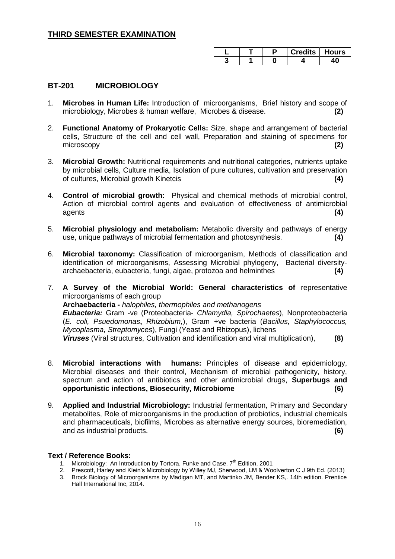|  |  | Credits   Hours |
|--|--|-----------------|
|  |  |                 |

### **BT-201 MICROBIOLOGY**

- 1. **Microbes in Human Life:** Introduction of microorganisms, Brief history and scope of microbiology, Microbes & human welfare, Microbes & disease. **(2)**
- 2. **Functional Anatomy of Prokaryotic Cells:** Size, shape and arrangement of bacterial cells, Structure of the cell and cell wall, Preparation and staining of specimens for microscopy **(2)**
- 3. **Microbial Growth:** Nutritional requirements and nutritional categories, nutrients uptake by microbial cells, Culture media, Isolation of pure cultures, cultivation and preservation of cultures, Microbial growth Kinetcis **(4)**
- 4. **Control of microbial growth:** Physical and chemical methods of microbial control, Action of microbial control agents and evaluation of effectiveness of antimicrobial agents **(4)**
- 5. **Microbial physiology and metabolism:** Metabolic diversity and pathways of energy use, unique pathways of microbial fermentation and photosynthesis. **(4)**
- 6. **Microbial taxonomy:** Classification of microorganism, Methods of classification and identification of microorganisms, Assessing Microbial phylogeny, Bacterial diversityarchaebacteria, eubacteria, fungi, algae, protozoa and helminthes **(4)**
- 7. **A Survey of the Microbial World: General characteristics of** representative microorganisms of each group **Archaebacteria -** *halophiles, thermophiles and methanogens Eubacteria:* Gram -ve (Proteobacteria- *Chlamydia, Spirochaetes*), Nonproteobacteria (*E. coli, Psuedomonas***,** *Rhizobium,*), Gram +ve bacteria (*Bacillus, Staphylococcus, Mycoplasma, Streptomyces*), Fungi (Yeast and Rhizopus), lichens *Viruses* (Viral structures, Cultivation and identification and viral multiplication), **(8)**
- 8. **Microbial interactions with humans:** Principles of disease and epidemiology, Microbial diseases and their control, Mechanism of microbial pathogenicity, history, spectrum and action of antibiotics and other antimicrobial drugs, **Superbugs and opportunistic infections, Biosecurity, Microbiome (6)**
- 9. **Applied and Industrial Microbiology:** Industrial fermentation, Primary and Secondary metabolites, Role of microorganisms in the production of probiotics, industrial chemicals and pharmaceuticals, biofilms, Microbes as alternative energy sources, bioremediation, and as industrial products. **(6)**

- 1. Microbiology: An Introduction by Tortora, Funke and Case. 7<sup>th</sup> Edition, 2001
- 2. Prescott, Harley and Klein's Microbiology by Willey MJ, Sherwood, LM & Woolverton C J 9th Ed. (2013)
- 3. Brock Biology of Microorganisms by Madigan MT, and Martinko JM, Bender KS,. 14th edition. Prentice Hall International Inc, 2014.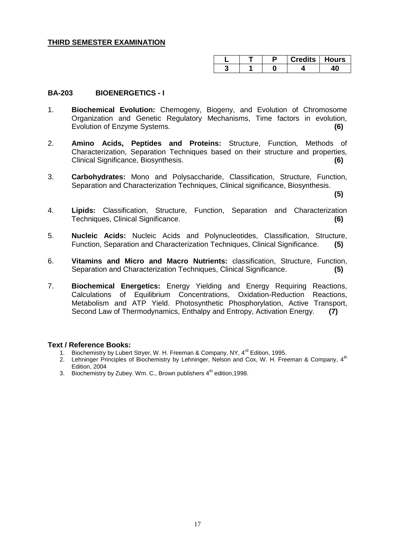|  |  | <b>Credits   Hours</b> |
|--|--|------------------------|
|  |  |                        |

#### **BA-203 BIOENERGETICS - I**

- 1. **Biochemical Evolution:** Chemogeny, Biogeny, and Evolution of Chromosome Organization and Genetic Regulatory Mechanisms, Time factors in evolution, Evolution of Enzyme Systems. **(6)**
- 2. **Amino Acids, Peptides and Proteins:** Structure, Function, Methods of Characterization, Separation Techniques based on their structure and properties, Clinical Significance, Biosynthesis. **(6)**
- 3. **Carbohydrates:** Mono and Polysaccharide, Classification, Structure, Function, Separation and Characterization Techniques, Clinical significance, Biosynthesis.

**(5)**

- 4. **Lipids:** Classification, Structure, Function, Separation and Characterization Techniques, Clinical Significance. **(6)**
- 5. **Nucleic Acids:** Nucleic Acids and Polynucleotides, Classification, Structure, Function, Separation and Characterization Techniques, Clinical Significance. **(5)**
- 6. **Vitamins and Micro and Macro Nutrients:** classification, Structure, Function, Separation and Characterization Techniques, Clinical Significance. **(5)**
- 7. **Biochemical Energetics:** Energy Yielding and Energy Requiring Reactions, Calculations of Equilibrium Concentrations, Oxidation-Reduction Reactions, Metabolism and ATP Yield. Photosynthetic Phosphorylation, Active Transport, Second Law of Thermodynamics, Enthalpy and Entropy, Activation Energy. **(7)**

- 1. Biochemistry by Lubert Stryer, W. H. Freeman & Company, NY, 4<sup>rd</sup> Edition, 1995.
- 2. Lehninger Principles of Biochemistry by Lehninger, Nelson and Cox, W. H. Freeman & Company, 4<sup>th</sup> Edition, 2004
- 3. Biochemistry by Zubey. Wm. C., Brown publishers  $4<sup>th</sup>$  edition, 1998.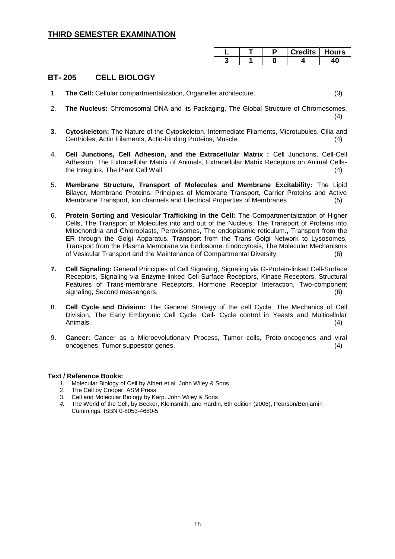|  | <b>Credits   Hours</b> |  |
|--|------------------------|--|
|  |                        |  |

### **BT- 205 CELL BIOLOGY**

- 1. **The Cell:** Cellular compartmentalization, Organeller architecture. (3)
- 2. **The Nucleus:** Chromosomal DNA and its Packaging, The Global Structure of Chromosomes. (4)
- **3. Cytoskeleton:** The Nature of the Cytoskeleton, Intermediate Filaments, Microtubules, Cilia and Centrioles, Actin Filaments, Actin-binding Proteins, Muscle. (4)
- 4. **Cell Junctions, Cell Adhesion, and the Extracellular Matrix :** Cell Junctions, Cell-Cell Adhesion, The Extracellular Matrix of Animals, Extracellular Matrix Receptors on Animal Cellsthe Integrins, The Plant Cell Wall (4)
- 5. **Membrane Structure, Transport of Molecules and Membrane Excitability:** The Lipid Bilayer, Membrane Proteins, Principles of Membrane Transport, Carrier Proteins and Active Membrane Transport, Ion channels and Electrical Properties of Membranes (5)
- 6. **Protein Sorting and Vesicular Trafficking in the Cell:** The Compartmentalization of Higher Cells, The Transport of Molecules into and out of the Nucleus, The Transport of Proteins into Mitochondria and Chloroplasts, Peroxisomes, The endoplasmic reticulum.**,** Transport from the ER through the Golgi Apparatus, Transport from the Trans Golgi Network to Lysosomes, Transport from the Plasma Membrane via Endosome: Endocytosis, The Molecular Mechanisms of Vesicular Transport and the Maintenance of Compartmental Diversity. (6)
- **7. Cell Signaling:** General Principles of Cell Signaling, Signaling via G-Protein-linked Cell-Surface Receptors, Signaling via Enzyme-linked Cell-Surface Receptors, Kinase Receptors, Structural Features of Trans-membrane Receptors, Hormone Receptor Interaction, Two-component signaling, Second messengers. (6)
- 8. **Cell Cycle and Division:** The General Strategy of the cell Cycle, The Mechanics of Cell Division, The Early Embryonic Cell Cycle, Cell- Cycle control in Yeasts and Multicellular Animals. (4)
- 9. **Cancer:** Cancer as a Microevolutionary Process, Tumor cells, Proto-oncogenes and viral oncogenes, Tumor suppessor genes. (4)

- *1.* Molecular Biology of Cell by Albert et.al. John Wiley & Sons
- 2. The Cell by Cooper. ASM Press
- 3. Cell and Molecular Biology by Karp. John Wiley & Sons
- *4.* The World of the Cell, by Becker, Kleinsmith, and Hardin, 6th edition (2006), Pearson/Benjamin Cummings. ISBN 0-8053-4680-5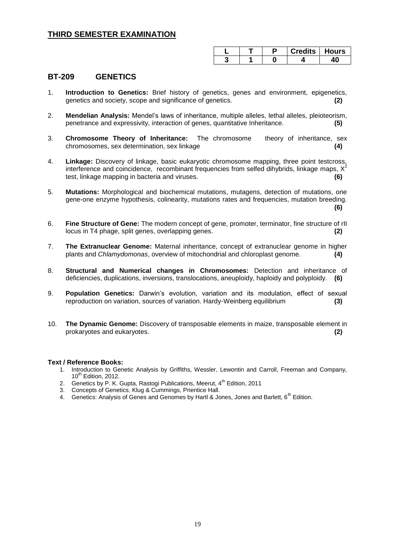|  | <b>Credits   Hours</b> |  |
|--|------------------------|--|
|  |                        |  |

#### **BT-209 GENETICS**

- 1. **Introduction to Genetics:** Brief history of genetics, genes and environment, epigenetics, genetics and society, scope and significance of genetics. **(2)**
- 2. **Mendelian Analysis:** Mendel's laws of inheritance, multiple alleles, lethal alleles, pleioteorism, penetrance and expressivity, interaction of genes, quantitative Inheritance. **(5)**
- 3. **Chromosome Theory of Inheritance:** The chromosome theory of inheritance, sex chromosomes, sex determination, sex linkage **(4)**
- 4. **Linkage:** Discovery of linkage, basic eukaryotic chromosome mapping, three point testcross, interference and coincidence, recombinant frequencies from selfed dihybrids, linkage maps,  $X^2$ test, linkage mapping in bacteria and viruses. **(6)**
- 5. **Mutations:** Morphological and biochemical mutations, mutagens, detection of mutations, one gene-one enzyme hypothesis, colinearity, mutations rates and frequencies, mutation breeding. **(6)**
- 6. **Fine Structure of Gene:** The modern concept of gene, promoter, terminator, fine structure of rII locus in T4 phage, split genes, overlapping genes. **(2)**
- 7. **The Extranuclear Genome:** Maternal inheritance, concept of extranuclear genome in higher plants and *Chlamydomonas*, overview of mitochondrial and chloroplast genome. **(4)**
- 8. **Structural and Numerical changes in Chromosomes:** Detection and inheritance of deficiencies, duplications, inversions, translocations, aneuploidy, haploidy and polyploidy. **(6)**
- 9. **Population Genetics:** Darwin's evolution, variation and its modulation, effect of sexual reproduction on variation, sources of variation. Hardy-Weinberg equilibrium **(3)**
- 10. **The Dynamic Genome:** Discovery of transposable elements in maize, transposable element in prokaryotes and eukaryotes. **(2)**

- 1. Introduction to Genetic Analysis by Griffiths, Wessler, Lewontin and Carroll, Freeman and Company,  $10^{th}$  Edition, 2012.
- 2. Genetics by P. K. Gupta, Rastogi Publications, Meerut, 4<sup>th</sup> Edition, 2011
- 3. Concepts of Genetics, Klug & Cummings, Prientice Hall.
- 4. Genetics: Analysis of Genes and Genomes by Hartl & Jones, Jones and Barlett, 6<sup>th</sup> Edition.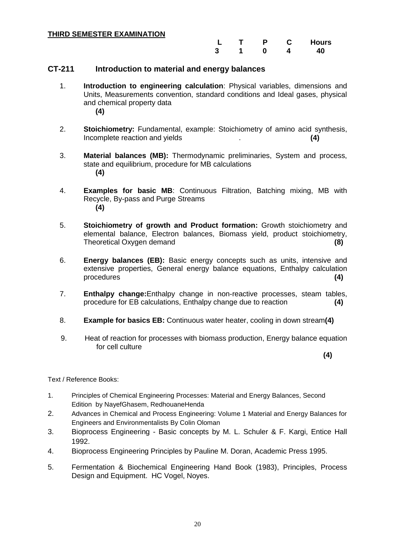|  | D | <b>Hours</b> |
|--|---|--------------|
|  |   | 40           |

#### **CT-211 Introduction to material and energy balances**

- 1. **Introduction to engineering calculation**: Physical variables, dimensions and Units, Measurements convention, standard conditions and Ideal gases, physical and chemical property data **(4)**
- 2. **Stoichiometry:** Fundamental, example: Stoichiometry of amino acid synthesis, Incomplete reaction and yields . **(4)**
- 3. **Material balances (MB):** Thermodynamic preliminaries, System and process, state and equilibrium, procedure for MB calculations **(4)**
- 4. **Examples for basic MB**: Continuous Filtration, Batching mixing, MB with Recycle, By-pass and Purge Streams **(4)**
- 5. **Stoichiometry of growth and Product formation:** Growth stoichiometry and elemental balance, Electron balances, Biomass yield, product stoichiometry, Theoretical Oxygen demand **(8)**
- 6. **Energy balances (EB):** Basic energy concepts such as units, intensive and extensive properties, General energy balance equations, Enthalpy calculation procedures **(4)**
- 7. **Enthalpy change:**Enthalpy change in non-reactive processes, steam tables, procedure for EB calculations, Enthalpy change due to reaction **(4)**
- 8. **Example for basics EB:** Continuous water heater, cooling in down stream**(4)**
- 9. Heat of reaction for processes with biomass production, Energy balance equation for cell culture

**(4)**

- 1. Principles of Chemical Engineering Processes: Material and Energy Balances, Second Edition by NayefGhasem, RedhouaneHenda
- 2. Advances in Chemical and Process Engineering: Volume 1 Material and Energy Balances for Engineers and Environmentalists By Colin Oloman
- 3. Bioprocess Engineering Basic concepts by M. L. Schuler & F. Kargi, Entice Hall 1992.
- 4. Bioprocess Engineering Principles by Pauline M. Doran, Academic Press 1995.
- 5. Fermentation & Biochemical Engineering Hand Book (1983), Principles, Process Design and Equipment. HC Vogel, Noyes.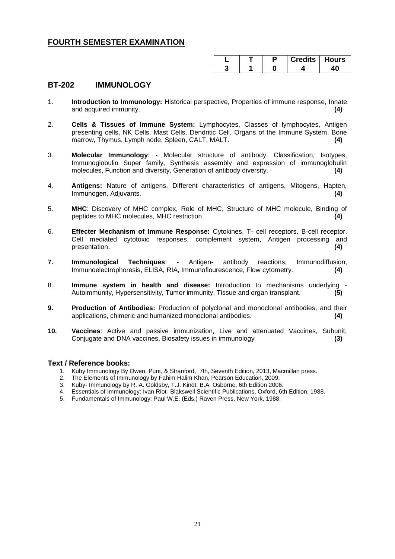|  |  | <b>Credits   Hours</b> |
|--|--|------------------------|
|  |  |                        |

#### **BT-202 IMMUNOLOGY**

- 1. **Introduction to Immunology:** Historical perspective, Properties of immune response, Innate and acquired immunity. **(4)**
- 2. **Cells & Tissues of Immune System:** Lymphocytes, Classes of lymphocytes, Antigen presenting cells, NK Cells, Mast Cells, Dendritic Cell, Organs of the Immune System, Bone marrow, Thymus, Lymph node, Spleen, CALT, MALT. **(4)**
- 3. **Molecular Immunology**: Molecular structure of antibody, Classification, Isotypes, Immunoglobulin Super family, Synthesis assembly and expression of immunoglobulin molecules, Function and diversity, Generation of antibody diversity. **(4)**
- 4. **Antigens:** Nature of antigens, Different characteristics of antigens, Mitogens, Hapten, Immunogen, Adjuvants. **(4)**
- 5. **MHC**: Discovery of MHC complex, Role of MHC, Structure of MHC molecule, Binding of peptides to MHC molecules, MHC restriction. **(4)**
- 6. **Effecter Mechanism of Immune Response:** Cytokines, T- cell receptors, B-cell receptor, Cell mediated cytotoxic responses, complement system, Antigen processing and presentation. **(4)**
- **7. Immunological Techniques**: Antigen- antibody reactions, Immunodiffusion, Immunoelectrophoresis, ELISA, RIA, Immunoflourescence, Flow cytometry. **(4)**
- 8. **Immune system in health and disease:** Introduction to mechanisms underlying Autoimmunity, Hypersensitivity, Tumor immunity, Tissue and organ transplant. **(5)**
- **9. Production of Antibodies:** Production of polyclonal and monoclonal antibodies, and their applications, chimeric and humanized monoclonal antibodies. **(4)**
- **10. Vaccines**: Active and passive immunization, Live and attenuated Vaccines, Subunit, Conjugate and DNA vaccines, Biosafety issues in immunology **(3)**

- 1. Kuby Immunology By Owen, Punt, & Stranford, 7th, Seventh Edition, 2013, Macmillan press.
- 2. The Elements of Immunology by Fahim Halim Khan, Pearson Education, 2009.
- 
- 3. Kuby- Immunology by R. A. Goldsby, T.J. Kindt, B.A. Osborne, 6th Edition 2006.<br>4. Essentials of Immunology: Ivan Riot- Blakswell Scientific Publications, Oxford, 6t<br>5. Fundamentals of Immunology: Paul W.E. (Eds.) Raven 4. Essentials of Immunology: Ivan Riot- Blakswell Scientific Publications, Oxford, 6th Edition, 1988.
- 5. Fundamentals of Immunology: Paul W.E. (Eds.) Raven Press, New York, 1988.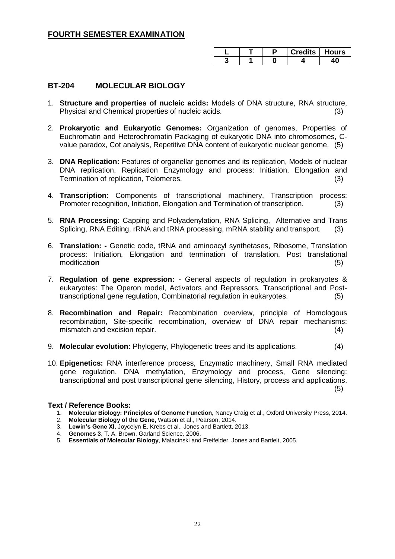|  | Credits   Hours |  |
|--|-----------------|--|
|  |                 |  |

### **BT-204 MOLECULAR BIOLOGY**

- 1. **Structure and properties of nucleic acids:** Models of DNA structure, RNA structure, Physical and Chemical properties of nucleic acids. (3)
- 2. **Prokaryotic and Eukaryotic Genomes:** Organization of genomes, Properties of Euchromatin and Heterochromatin Packaging of eukaryotic DNA into chromosomes, Cvalue paradox, Cot analysis, Repetitive DNA content of eukaryotic nuclear genome. (5)
- 3. **DNA Replication:** Features of organellar genomes and its replication, Models of nuclear DNA replication, Replication Enzymology and process: Initiation, Elongation and Termination of replication, Telomeres. (3) (3)
- 4. **Transcription:** Components of transcriptional machinery, Transcription process: Promoter recognition, Initiation, Elongation and Termination of transcription. (3)
- 5. **RNA Processing**: Capping and Polyadenylation, RNA Splicing, Alternative and Trans Splicing, RNA Editing, rRNA and tRNA processing, mRNA stability and transport.
- 6. **Translation: -** Genetic code, tRNA and aminoacyl synthetases, Ribosome, Translation process: Initiation, Elongation and termination of translation, Post translational modificati**on** (5)
- 7. **Regulation of gene expression: -** General aspects of regulation in prokaryotes & eukaryotes: The Operon model, Activators and Repressors, Transcriptional and Posttranscriptional gene regulation, Combinatorial regulation in eukaryotes. (5)
- 8. **Recombination and Repair:** Recombination overview, principle of Homologous recombination, Site-specific recombination, overview of DNA repair mechanisms: mismatch and excision repair. (4)
- 9. **Molecular evolution:** Phylogeny, Phylogenetic trees and its applications.(4)
- 10. **Epigenetics:** RNA interference process, Enzymatic machinery, Small RNA mediated gene regulation, DNA methylation, Enzymology and process, Gene silencing: transcriptional and post transcriptional gene silencing, History, process and applications. (5)

- 1. **Molecular Biology: Principles of Genome Function,** Nancy Craig et al., Oxford University Press, 2014.
- 2. **Molecular Biology of the Gene,** Watson et al., Pearson, 2014.
- 3. **Lewin's Gene XI,** Joycelyn E. Krebs et al., Jones and Bartlett, 2013.
- 4. **Genomes 3**, T. A. Brown, Garland Science, 2006.
- 5. **Essentials of Molecular Biology**, Malacinski and Freifelder, Jones and Bartlelt, 2005.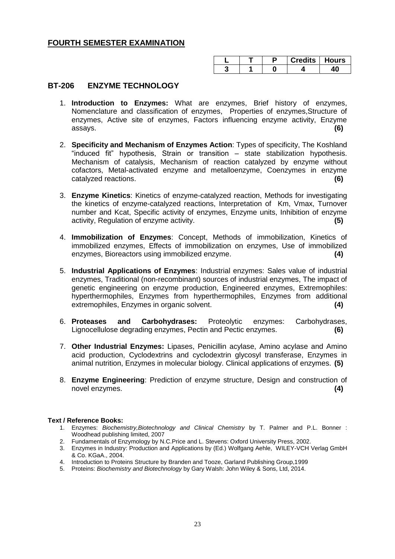|  | uredits like | <b>Hours</b> |
|--|--------------|--------------|
|  |              |              |

### **BT-206 ENZYME TECHNOLOGY**

- 1. **Introduction to Enzymes:** What are enzymes, Brief history of enzymes, Nomenclature and classification of enzymes, Properties of enzymes,Structure of enzymes, Active site of enzymes, Factors influencing enzyme activity, Enzyme assays. **(6)**
- 2. **Specificity and Mechanism of Enzymes Action**: Types of specificity, The Koshland "induced fit" hypothesis, Strain or transition – state stabilization hypothesis. Mechanism of catalysis, Mechanism of reaction catalyzed by enzyme without cofactors, Metal-activated enzyme and metalloenzyme, Coenzymes in enzyme catalyzed reactions. **(6)**
- 3. **Enzyme Kinetics**: Kinetics of enzyme-catalyzed reaction, Methods for investigating the kinetics of enzyme-catalyzed reactions, Interpretation of Km, Vmax, Turnover number and Kcat, Specific activity of enzymes, Enzyme units, Inhibition of enzyme activity, Regulation of enzyme activity. **(5)**
- 4. **Immobilization of Enzymes**: Concept, Methods of immobilization, Kinetics of immobilized enzymes, Effects of immobilization on enzymes, Use of immobilized enzymes, Bioreactors using immobilized enzyme. **(4)**
- 5. **Industrial Applications of Enzymes**: Industrial enzymes: Sales value of industrial enzymes, Traditional (non-recombinant) sources of industrial enzymes, The impact of genetic engineering on enzyme production, Engineered enzymes, Extremophiles: hyperthermophiles, Enzymes from hyperthermophiles, Enzymes from additional extremophiles, Enzymes in organic solvent. **(4)**
- 6. **Proteases and Carbohydrases:** Proteolytic enzymes: Carbohydrases, Lignocellulose degrading enzymes, Pectin and Pectic enzymes. **(6)**
- 7. **Other Industrial Enzymes:** Lipases, Penicillin acylase, Amino acylase and Amino acid production, Cyclodextrins and cyclodextrin glycosyl transferase, Enzymes in animal nutrition, Enzymes in molecular biology. Clinical applications of enzymes. **(5)**
- 8. **Enzyme Engineering**: Prediction of enzyme structure, Design and construction of novel enzymes. **(4)**

- 1. Enzymes: *Biochemistry,Biotechnology and Clinical Chemistry* by T. Palmer and P.L. Bonner : Woodhead publishing limited, 2007
- 2. Fundamentals of Enzymology by N.C.Price and L. Stevens: Oxford University Press, 2002.
- 3. Enzymes in Industry: Production and Applications by (Ed.) Wolfgang Aehle, WILEY-VCH Verlag GmbH & Co. KGaA., 2004.
- 4. Introduction to Proteins Structure by Branden and Tooze, Garland Publishing Group,1999
- 5. Proteins: *Biochemistry and Biotechnology* by Gary Walsh: John Wiley & Sons, Ltd, 2014.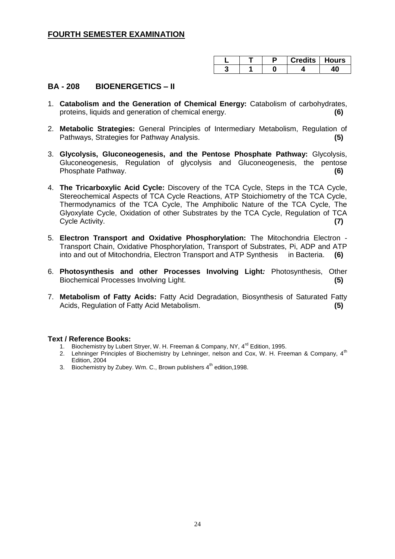|  |  | edits   Hours |
|--|--|---------------|
|  |  |               |

### **BA - 208 BIOENERGETICS – II**

- 1. **Catabolism and the Generation of Chemical Energy:** Catabolism of carbohydrates, proteins, liquids and generation of chemical energy. **(6)**
- 2. **Metabolic Strategies:** General Principles of Intermediary Metabolism, Regulation of Pathways, Strategies for Pathway Analysis. **(5)**
- 3. **Glycolysis, Gluconeogenesis, and the Pentose Phosphate Pathway:** Glycolysis, Gluconeogenesis, Regulation of glycolysis and Gluconeogenesis, the pentose Phosphate Pathway. **(6)**
- 4. **The Tricarboxylic Acid Cycle:** Discovery of the TCA Cycle, Steps in the TCA Cycle, Stereochemical Aspects of TCA Cycle Reactions, ATP Stoichiometry of the TCA Cycle, Thermodynamics of the TCA Cycle, The Amphibolic Nature of the TCA Cycle, The Glyoxylate Cycle, Oxidation of other Substrates by the TCA Cycle, Regulation of TCA Cycle Activity. **(7)**
- 5. **Electron Transport and Oxidative Phosphorylation:** The Mitochondria Electron Transport Chain, Oxidative Phosphorylation, Transport of Substrates, Pi, ADP and ATP into and out of Mitochondria, Electron Transport and ATP Synthesis in Bacteria. **(6)**
- 6. **Photosynthesis and other Processes Involving Light***:* Photosynthesis, Other Biochemical Processes Involving Light. **(5)**
- 7. **Metabolism of Fatty Acids:** Fatty Acid Degradation, Biosynthesis of Saturated Fatty Acids, Regulation of Fatty Acid Metabolism. **(5)**

- 1. Biochemistry by Lubert Stryer, W. H. Freeman & Company, NY, 4<sup>rd</sup> Edition, 1995.
- 2. Lehninger Principles of Biochemistry by Lehninger, nelson and Cox, W. H. Freeman & Company, 4<sup>th</sup> Edition, 2004
- 3. Biochemistry by Zubey. Wm. C., Brown publishers  $4<sup>th</sup>$  edition, 1998.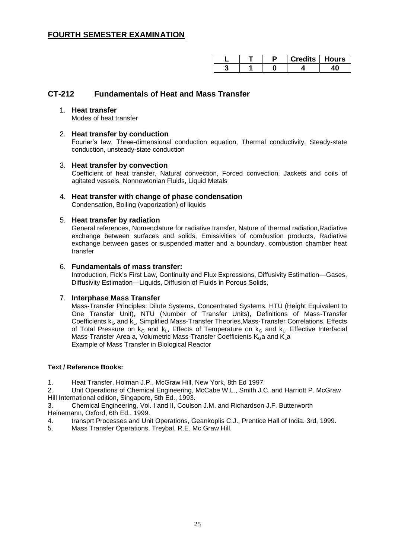|  | $r$ redits $\cdots$ | Hours |
|--|---------------------|-------|
|  |                     |       |

### **CT-212 Fundamentals of Heat and Mass Transfer**

1. **Heat transfer**  Modes of heat transfer

#### 2. **Heat transfer by conduction**

Fourier's law, Three-dimensional conduction equation, Thermal conductivity, Steady-state conduction, unsteady-state conduction

#### 3. **Heat transfer by convection**

Coefficient of heat transfer, Natural convection, Forced convection, Jackets and coils of agitated vessels, Nonnewtonian Fluids, Liquid Metals

### 4. **Heat transfer with change of phase condensation**

Condensation, Boiling (vaporization) of liquids

#### 5. **Heat transfer by radiation**

General references, Nomenclature for radiative transfer, Nature of thermal radiation,Radiative exchange between surfaces and solids, Emissivities of combustion products, Radiative exchange between gases or suspended matter and a boundary, combustion chamber heat transfer

#### 6. **Fundamentals of mass transfer:**

Introduction, Fick's First Law, Continuity and Flux Expressions, Diffusivity Estimation—Gases, Diffusivity Estimation—Liquids, Diffusion of Fluids in Porous Solids,

#### 7. **Interphase Mass Transfer**

Mass-Transfer Principles: Dilute Systems, Concentrated Systems, HTU (Height Equivalent to One Transfer Unit), NTU (Number of Transfer Units), Definitions of Mass-Transfer Coefficients  $k_G$  and  $k_L$ , Simplified Mass-Transfer Theories, Mass-Transfer Correlations, Effects of Total Pressure on  $k_G$  and  $k_L$ , Effects of Temperature on  $k_G$  and  $k_L$ , Effective Interfacial Mass-Transfer Area a, Volumetric Mass-Transfer Coefficients  $K_G$ a and  $K_L$ a Example of Mass Transfer in Biological Reactor

#### **Text / Reference Books:**

1. Heat Transfer, Holman J.P., McGraw Hill, New York, 8th Ed 1997.

2. Unit Operations of Chemical Engineering, McCabe W.L., Smith J.C. and Harriott P. McGraw Hill International edition, Singapore, 5th Ed., 1993.

3. Chemical Engineering, Vol. I and II, Coulson J.M. and Richardson J.F. Butterworth Heinemann, Oxford, 6th Ed., 1999.

4. transprt Processes and Unit Operations, Geankoplis C.J., Prentice Hall of India. 3rd, 1999.

5. Mass Transfer Operations, Treybal, R.E. Mc Graw Hill.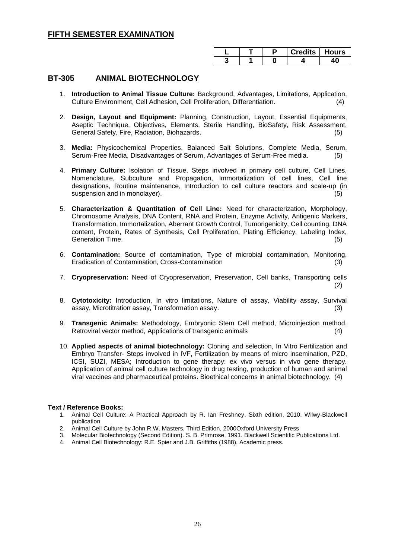|  | <b>Credits   Hours</b> |  |
|--|------------------------|--|
|  |                        |  |

### **BT-305 ANIMAL BIOTECHNOLOGY**

- 1. **Introduction to Animal Tissue Culture:** Background, Advantages, Limitations, Application, Culture Environment, Cell Adhesion, Cell Proliferation, Differentiation. (4)
- 2. **Design, Layout and Equipment:** Planning, Construction, Layout, Essential Equipments, Aseptic Technique, Objectives, Elements, Sterile Handling, BioSafety, Risk Assessment, General Safety, Fire, Radiation, Biohazards. (5)
- 3. **Media:** Physicochemical Properties, Balanced Salt Solutions, Complete Media, Serum, Serum-Free Media, Disadvantages of Serum, Advantages of Serum-Free media. (5)
- 4. **Primary Culture:** Isolation of Tissue, Steps involved in primary cell culture, Cell Lines, Nomenclature, Subculture and Propagation, Immortalization of cell lines, Cell line designations, Routine maintenance, Introduction to cell culture reactors and scale-up (in suspension and in monolayer). (5) (5)
- 5. **Characterization & Quantitation of Cell Line:** Need for characterization, Morphology, Chromosome Analysis, DNA Content, RNA and Protein, Enzyme Activity, Antigenic Markers, Transformation, Immortalization, Aberrant Growth Control, Tumorigenicity, Cell counting, DNA content, Protein, Rates of Synthesis, Cell Proliferation, Plating Efficiency, Labeling Index, Generation Time. (5) (5)
- 6. **Contamination:** Source of contamination, Type of microbial contamination, Monitoring, Eradication of Contamination, Cross-Contamination (3)
- 7. **Cryopreservation:** Need of Cryopreservation, Preservation, Cell banks, Transporting cells (2)
- 8. **Cytotoxicity:** Introduction, In vitro limitations, Nature of assay, Viability assay, Survival assay, Microtitration assay, Transformation assay. (3)
- 9. **Transgenic Animals:** Methodology, Embryonic Stem Cell method, Microinjection method, Retroviral vector method, Applications of transgenic animals (4)
- 10. **Applied aspects of animal biotechnology:** Cloning and selection, In Vitro Fertilization and Embryo Transfer- Steps involved in IVF, Fertilization by means of micro insemination, PZD, ICSI, SUZI, MESA; Introduction to gene therapy: ex vivo versus in vivo gene therapy. Application of animal cell culture technology in drug testing, production of human and animal viral vaccines and pharmaceutical proteins. Bioethical concerns in animal biotechnology. (4)

- 1. Animal Cell Culture: A Practical Approach by R. Ian Freshney, Sixth edition, 2010, Wilwy-Blackwell publication
- 2. Animal Cell Culture by John R.W. Masters, Third Edition, 2000Oxford University Press
- 3. Molecular Biotechnology (Second Edition). S. B. Primrose, 1991. Blackwell Scientific Publications Ltd.
- 4. Animal Cell Biotechnology: R.E. Spier and J.B. Griffiths (1988), Academic press.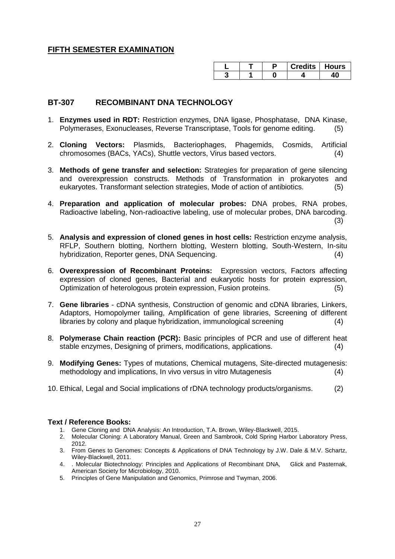|  | Credits   Hours |  |
|--|-----------------|--|
|  |                 |  |

### **BT-307 RECOMBINANT DNA TECHNOLOGY**

- 1. **Enzymes used in RDT:** Restriction enzymes, DNA ligase, Phosphatase, DNA Kinase, Polymerases, Exonucleases, Reverse Transcriptase, Tools for genome editing. (5)
- 2. **Cloning Vectors:** Plasmids, Bacteriophages, Phagemids, Cosmids, Artificial chromosomes (BACs, YACs), Shuttle vectors, Virus based vectors. (4)
- 3. **Methods of gene transfer and selection:** Strategies for preparation of gene silencing and overexpression constructs. Methods of Transformation in prokaryotes and eukaryotes. Transformant selection strategies, Mode of action of antibiotics. (5)
- 4. **Preparation and application of molecular probes:** DNA probes, RNA probes, Radioactive labeling, Non-radioactive labeling, use of molecular probes, DNA barcoding. (3)
- 5. **Analysis and expression of cloned genes in host cells:** Restriction enzyme analysis, RFLP, Southern blotting, Northern blotting, Western blotting, South-Western, In-situ hybridization, Reporter genes, DNA Sequencing. (4)
- 6. **Overexpression of Recombinant Proteins:** Expression vectors, Factors affecting expression of cloned genes, Bacterial and eukaryotic hosts for protein expression, Optimization of heterologous protein expression, Fusion proteins. (5)
- 7. **Gene libraries**  cDNA synthesis, Construction of genomic and cDNA libraries, Linkers, Adaptors, Homopolymer tailing, Amplification of gene libraries, Screening of different libraries by colony and plaque hybridization, immunological screening (4)
- 8. **Polymerase Chain reaction (PCR):** Basic principles of PCR and use of different heat stable enzymes, Designing of primers, modifications, applications. (4)
- 9. **Modifying Genes:** Types of mutations, Chemical mutagens, Site-directed mutagenesis: methodology and implications, In vivo versus in vitro Mutagenesis (4)
- 10. Ethical, Legal and Social implications of rDNA technology products/organisms. (2)

- 1. Gene Cloning and DNA Analysis: An Introduction, T.A. Brown, Wiley-Blackwell, 2015.
- 2. Molecular Cloning: A Laboratory Manual, Green and Sambrook, Cold Spring Harbor Laboratory Press, 2012.
- 3. From Genes to Genomes: Concepts & Applications of DNA Technology by J.W. Dale & M.V. Schartz, Wiley-Blackwell, 2011.
- 4. . Molecular Biotechnology: Principles and Applications of Recombinant DNA, Glick and Pasternak, American Society for Microbiology, 2010.
- 5. Principles of Gene Manipulation and Genomics, Primrose and Twyman, 2006.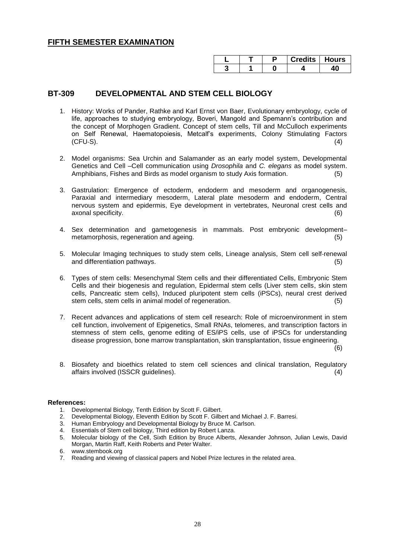|  | Credits   Hours |  |
|--|-----------------|--|
|  |                 |  |

### **BT-309 DEVELOPMENTAL AND STEM CELL BIOLOGY**

- 1. History: Works of Pander, Rathke and Karl Ernst von Baer, Evolutionary embryology, cycle of life, approaches to studying embryology, Boveri, Mangold and Spemann's contribution and the concept of Morphogen Gradient. Concept of stem cells, Till and McCulloch experiments on Self Renewal, Haematopoiesis, Metcalf's experiments, Colony Stimulating Factors  $(CFU-S)$ . (4)
- 2. Model organisms: Sea Urchin and Salamander as an early model system, Developmental Genetics and Cell –Cell communication using *Drosophila* and *C. elegans* as model system. Amphibians, Fishes and Birds as model organism to study Axis formation. (5)
- 3. Gastrulation: Emergence of ectoderm, endoderm and mesoderm and organogenesis, Paraxial and intermediary mesoderm, Lateral plate mesoderm and endoderm, Central nervous system and epidermis, Eye development in vertebrates, Neuronal crest cells and axonal specificity. (6)
- 4. Sex determination and gametogenesis in mammals. Post embryonic development– metamorphosis, regeneration and ageing. (5) metamorphosis (5)
- 5. Molecular Imaging techniques to study stem cells, Lineage analysis, Stem cell self-renewal and differentiation pathways. (5)
- 6. Types of stem cells: Mesenchymal Stem cells and their differentiated Cells, Embryonic Stem Cells and their biogenesis and regulation, Epidermal stem cells (Liver stem cells, skin stem cells, Pancreatic stem cells), Induced pluripotent stem cells (iPSCs), neural crest derived stem cells, stem cells in animal model of regeneration. (5)
- 7. Recent advances and applications of stem cell research: Role of microenvironment in stem cell function, involvement of Epigenetics, Small RNAs, telomeres, and transcription factors in stemness of stem cells, genome editing of ES/iPS cells, use of iPSCs for understanding disease progression, bone marrow transplantation, skin transplantation, tissue engineering.

(6)

8. Biosafety and bioethics related to stem cell sciences and clinical translation, Regulatory affairs involved (ISSCR guidelines). (4)

#### **References:**

- 1. Developmental Biology, Tenth Edition by Scott F. Gilbert.
- 2. Developmental Biology, Eleventh Edition by Scott F. Gilbert and Michael J. F. Barresi.
- 3. Human Embryology and Developmental Biology by Bruce M. Carlson.
- 4. Essentials of Stem cell biology, Third edition by Robert Lanza.
- 5. Molecular biology of the Cell, Sixth Edition by Bruce Alberts, Alexander Johnson, Julian Lewis, David Morgan, Martin Raff, Keith Roberts and Peter Walter.
- 
- 6. www.stembook.org<br>7. Reading and viewin 7. Reading and viewing of classical papers and Nobel Prize lectures in the related area.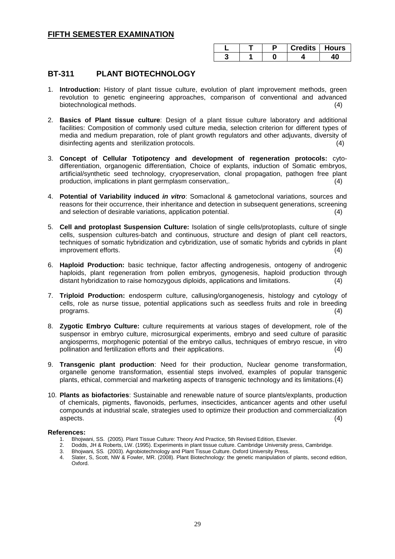|  | Credits   Hours |  |
|--|-----------------|--|
|  |                 |  |

### **BT-311 PLANT BIOTECHNOLOGY**

- 1. **Introduction:** History of plant tissue culture, evolution of plant improvement methods, green revolution to genetic engineering approaches, comparison of conventional and advanced biotechnological methods. (4)
- 2. **Basics of Plant tissue culture**: Design of a plant tissue culture laboratory and additional facilities: Composition of commonly used culture media, selection criterion for different types of media and medium preparation, role of plant growth regulators and other adjuvants, diversity of disinfecting agents and sterilization protocols. (4)
- 3. **Concept of Cellular Totipotency and development of regeneration protocols:** cytodifferentiation, organogenic differentiation, Choice of explants, induction of Somatic embryos, artificial/synthetic seed technology, cryopreservation, clonal propagation, pathogen free plant production, implications in plant germplasm conservation,. (4)
- 4. **Potential of Variability induced** *in vitro*: Somaclonal & gametoclonal variations, sources and reasons for their occurrence, their inheritance and detection in subsequent generations, screening and selection of desirable variations, application potential. (4)
- 5. **Cell and protoplast Suspension Culture:** Isolation of single cells/protoplasts, culture of single cells, suspension cultures-batch and continuous, structure and design of plant cell reactors, techniques of somatic hybridization and cybridization, use of somatic hybrids and cybrids in plant improvement efforts. (4)
- 6. **Haploid Production:** basic technique, factor affecting androgenesis, ontogeny of androgenic haploids, plant regeneration from pollen embryos, gynogenesis, haploid production through distant hybridization to raise homozygous diploids, applications and limitations. (4)
- 7. **Triploid Production:** endosperm culture, callusing/organogenesis, histology and cytology of cells, role as nurse tissue, potential applications such as seedless fruits and role in breeding  $\mathsf{programs.}\tag{4}$
- 8. **Zygotic Embryo Culture:** culture requirements at various stages of development, role of the suspensor in embryo culture, microsurgical experiments, embryo and seed culture of parasitic angiosperms, morphogenic potential of the embryo callus, techniques of embryo rescue, in vitro pollination and fertilization efforts and their applications. (4)
- 9. **Transgenic plant production**: Need for their production, Nuclear genome transformation, organelle genome transformation, essential steps involved, examples of popular transgenic plants, ethical, commercial and marketing aspects of transgenic technology and its limitations.(4)
- 10. **Plants as biofactories**: Sustainable and renewable nature of source plants/explants, production of chemicals, pigments, flavonoids, perfumes, insecticides, anticancer agents and other useful compounds at industrial scale, strategies used to optimize their production and commercialization aspects. (4)

#### **References:**

- 1. Bhojwani, SS. (2005). Plant Tissue Culture: Theory And Practice, 5th Revised Edition, Elsevier.
- 2. Dodds, JH & Roberts, LW. (1995). Experiments in plant tissue culture. Cambridge University press, Cambridge.<br>3. Bhoiwani, SS. (2003). Agrobiotechnology and Plant Tissue Culture. Oxford University Press.
- 3. Bhojwani*,* SS*.* (2003)*.* Agrobiotechnology and Plant Tissue Culture. Oxford University Press.
- 4. Slater, S, Scott, NW & Fowler, MR. (2008). Plant Biotechnology: the genetic manipulation of plants, second edition, Oxford.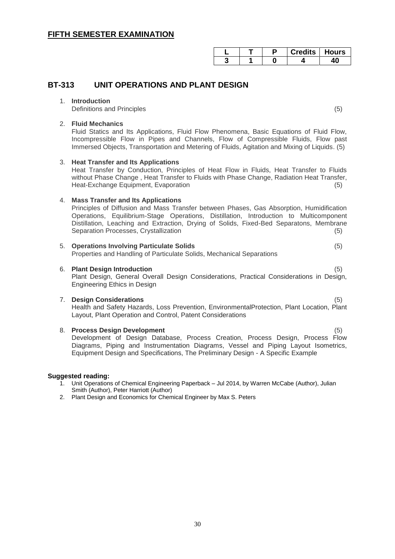|  | Credits   Hours |  |
|--|-----------------|--|
|  |                 |  |

### **BT-313 UNIT OPERATIONS AND PLANT DESIGN**

#### 1. **Introduction**

Definitions and Principles (5)

#### 2. **Fluid Mechanics**

Fluid Statics and Its Applications, Fluid Flow Phenomena, Basic Equations of Fluid Flow, Incompressible Flow in Pipes and Channels, Flow of Compressible Fluids, Flow past Immersed Objects, Transportation and Metering of Fluids, Agitation and Mixing of Liquids. (5)

#### 3. **Heat Transfer and Its Applications**

Heat Transfer by Conduction, Principles of Heat Flow in Fluids, Heat Transfer to Fluids without Phase Change , Heat Transfer to Fluids with Phase Change, Radiation Heat Transfer, Heat-Exchange Equipment, Evaporation (5)

#### 4. **Mass Transfer and Its Applications**

Principles of Diffusion and Mass Transfer between Phases, Gas Absorption, Humidification Operations, Equilibrium-Stage Operations, Distillation, Introduction to Multicomponent Distillation, Leaching and Extraction, Drying of Solids, Fixed-Bed Separatons, Membrane Separation Processes, Crystallization (5) (5)

#### 5. **Operations Involving Particulate Solids** (5)

Properties and Handling of Particulate Solids, Mechanical Separations

#### 6. **Plant Design Introduction** (5)

Plant Design, General Overall Design Considerations, Practical Considerations in Design, Engineering Ethics in Design

#### 7. **Design Considerations** (5)

Health and Safety Hazards, Loss Prevention, EnvironmentalProtection, Plant Location, Plant Layout, Plant Operation and Control, Patent Considerations

#### 8. **Process Design Development** (5) Development of Design Database, Process Creation, Process Design, Process Flow Diagrams, Piping and Instrumentation Diagrams, Vessel and Piping Layout Isometrics,

#### **Suggested reading:**

1. Unit Operations of Chemical Engineering Paperback – Jul 2014, by Warren McCabe (Author), Julian Smith (Author), Peter Harriott (Author)

Equipment Design and Specifications, The Preliminary Design - A Specific Example

2. Plant Design and Economics for Chemical Engineer by Max S. Peters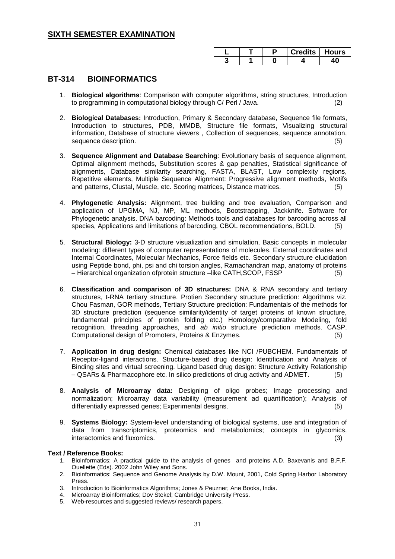|  |  | Credits   Hours |
|--|--|-----------------|
|  |  |                 |

### **BT-314 BIOINFORMATICS**

- 1. **Biological algorithms**: Comparison with computer algorithms, string structures, Introduction to programming in computational biology through C/ Perl / Java. (2)
- 2. **Biological Databases:** Introduction, Primary & Secondary database, Sequence file formats, Introduction to structures, PDB, MMDB, Structure file formats, Visualizing structural information, Database of structure viewers , Collection of sequences, sequence annotation, sequence description. (5) (5)
- 3. **Sequence Alignment and Database Searching**: Evolutionary basis of sequence alignment, Optimal alignment methods, Substitution scores & gap penalties, Statistical significance of alignments, Database similarity searching, FASTA, BLAST, Low complexity regions, Repetitive elements, Multiple Sequence Alignment: Progressive alignment methods, Motifs and patterns, Clustal, Muscle, etc. Scoring matrices, Distance matrices,
- 4. **Phylogenetic Analysis:** Alignment, tree building and tree evaluation, Comparison and application of UPGMA, NJ, MP, ML methods, Bootstrapping, Jackknife. Software for Phylogenetic analysis. DNA barcoding: Methods tools and databases for barcoding across all species, Applications and limitations of barcoding, CBOL recommendations, BOLD. (5)
- 5. **Structural Biology:** 3-D structure visualization and simulation, Basic concepts in molecular modeling: different types of computer representations of molecules. External coordinates and Internal Coordinates, Molecular Mechanics, Force fields etc. Secondary structure elucidation using Peptide bond, phi, psi and chi torsion angles, Ramachandran map, anatomy of proteins – Hierarchical organization ofprotein structure –like CATH,SCOP, FSSP (5)
- 6. **Classification and comparison of 3D structures:** DNA & RNA secondary and tertiary structures, t-RNA tertiary structure. Protien Secondary structure prediction: Algorithms viz. Chou Fasman, GOR methods, Tertiary Structure prediction: Fundamentals of the methods for 3D structure prediction (sequence similarity/identity of target proteins of known structure, fundamental principles of protein folding etc.) Homology/comparative Modeling, fold recognition, threading approaches, and *ab initio* structure prediction methods. CASP. Computational design of Promoters, Proteins & Enzymes.
- 7. **Application in drug design:** Chemical databases like NCI /PUBCHEM. Fundamentals of Receptor-ligand interactions. Structure-based drug design: Identification and Analysis of Binding sites and virtual screening. Ligand based drug design: Structure Activity Relationship – QSARs & Pharmacophore etc. In silico predictions of drug activity and ADMET. (5)
- 8. **Analysis of Microarray data:** Designing of oligo probes; Image processing and normalization; Microarray data variability (measurement ad quantification); Analysis of differentially expressed genes; Experimental designs. (5)
- 9. **Systems Biology:** System-level understanding of biological systems, use and integration of data from transcriptomics, proteomics and metabolomics; concepts in glycomics, interactomics and fluxomics. (3)

- 1. Bioinformatics: A practical guide to the analysis of genes and proteins A.D. Baxevanis and B.F.F. Ouellette (Eds). 2002 John Wiley and Sons.
- 2. Bioinformatics: Sequence and Genome Analysis by D.W. Mount, 2001, Cold Spring Harbor Laboratory Press.
- Introduction to Bioinformatics Algorithms; Jones & Peuzner; Ane Books, India.
- 4. Microarray Bioinformatics; Dov Stekel; Cambridge University Press.
- 5. Web-resources and suggested reviews/ research papers.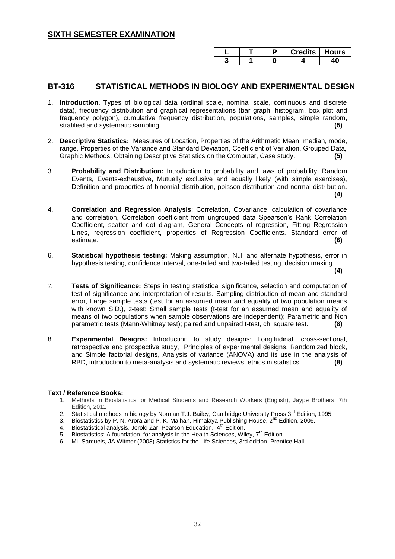|  | Credits   Hours |  |
|--|-----------------|--|
|  |                 |  |

#### **BT-316 STATISTICAL METHODS IN BIOLOGY AND EXPERIMENTAL DESIGN**

- 1. **Introduction**: Types of biological data (ordinal scale, nominal scale, continuous and discrete data), frequency distribution and graphical representations (bar graph, histogram, box plot and frequency polygon), cumulative frequency distribution, populations, samples, simple random, stratified and systematic sampling. **(5)**
- 2. **Descriptive Statistics:** Measures of Location, Properties of the Arithmetic Mean, median, mode, range, Properties of the Variance and Standard Deviation, Coefficient of Variation, Grouped Data, Graphic Methods, Obtaining Descriptive Statistics on the Computer, Case study. **(5)**
- 3. **Probability and Distribution:** Introduction to probability and laws of probability, Random Events, Events-exhaustive, Mutually exclusive and equally likely (with simple exercises), Definition and properties of binomial distribution, poisson distribution and normal distribution. **(4)**
- 4. **Correlation and Regression Analysis**: Correlation, Covariance, calculation of covariance and correlation, Correlation coefficient from ungrouped data Spearson's Rank Correlation Coefficient, scatter and dot diagram, General Concepts of regression, Fitting Regression Lines, regression coefficient, properties of Regression Coefficients. Standard error of estimate. **(6)**
- 6. **Statistical hypothesis testing:** Making assumption, Null and alternate hypothesis, error in hypothesis testing, confidence interval, one-tailed and two-tailed testing, decision making.

**(4)**

- 7. **Tests of Significance:** Steps in testing statistical significance, selection and computation of test of significance and interpretation of results. Sampling distribution of mean and standard error, Large sample tests (test for an assumed mean and equality of two population means with known S.D.), z-test; Small sample tests (t-test for an assumed mean and equality of means of two populations when sample observations are independent); Parametric and Non parametric tests (Mann-Whitney test); paired and unpaired t-test, chi square test. **(8)**
- 8. **Experimental Designs:** Introduction to study designs: Longitudinal, cross-sectional, retrospective and prospective study, Principles of experimental designs, Randomized block, and Simple factorial designs, Analysis of variance (ANOVA) and its use in the analysis of RBD, introduction to meta-analysis and systematic reviews, ethics in statistics. **(8)**

- 1. Methods in Biostatistics for Medical Students and Research Workers (English), Jaype Brothers, 7th Edition, 2011
- 2. Statistical methods in biology by Norman T.J. Bailey, Cambridge University Press  $3<sup>rd</sup>$  Edition, 1995.
- 3. Biostatistics by P. N. Arora and P. K. Malhan, Himalaya Publishing House,  $2^{nd}$  Edition, 2006.<br>4. Biostatistical analysis Jerold Zar, Pearson Education,  $4^{th}$  Edition
- Biostatistical analysis. Jerold Zar, Pearson Education, 4<sup>th</sup> Edition.
- 5. Biostatistics; A foundation for analysis in the Health Sciences, Wiley,  $7<sup>th</sup>$  Edition.
- 6. ML Samuels, JA Witmer (2003) Statistics for the Life Sciences, 3rd edition. Prentice Hall.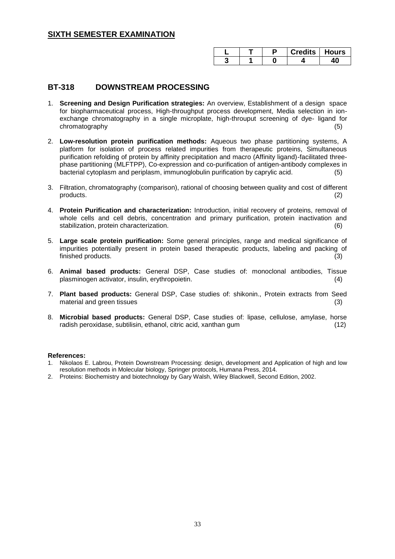|  | Credits   Hours |  |
|--|-----------------|--|
|  |                 |  |

### **BT-318 DOWNSTREAM PROCESSING**

- 1. **Screening and Design Purification strategies:** An overview, Establishment of a design space for biopharmaceutical process, High-throughput process development, Media selection in ionexchange chromatography in a single microplate, high-throuput screening of dye- ligand for chromatography
- 2. **Low-resolution protein purification methods:** Aqueous two phase partitioning systems, A platform for isolation of process related impurities from therapeutic proteins, Simultaneous purification refolding of protein by affinity precipitation and macro (Affinity ligand)-facilitated threephase partitioning (MLFTPP), Co-expression and co-purification of antigen-antibody complexes in bacterial cytoplasm and periplasm, immunoglobulin purification by caprylic acid.
- 3. Filtration, chromatography (comparison), rational of choosing between quality and cost of different products. (2)
- 4. **Protein Purification and characterization:** Introduction, initial recovery of proteins, removal of whole cells and cell debris, concentration and primary purification, protein inactivation and stabilization, protein characterization. (6)
- 5. **Large scale protein purification:** Some general principles, range and medical significance of impurities potentially present in protein based therapeutic products, labeling and packing of finished products. (3)
- 6. **Animal based products:** General DSP, Case studies of: monoclonal antibodies, Tissue plasminogen activator, insulin, erythropoietin. (4)
- 7. **Plant based products:** General DSP, Case studies of: shikonin., Protein extracts from Seed material and green tissues (3)
- 8. **Microbial based products:** General DSP, Case studies of: lipase, cellulose, amylase, horse radish peroxidase, subtilisin, ethanol, citric acid, xanthan gum (12)

#### **References:**

- 1. Nikolaos E. Labrou, Protein Downstream Processing: design, development and Application of high and low resolution methods in Molecular biology, Springer protocols, Humana Press, 2014.
- 2. Proteins: Biochemistry and biotechnology by Gary Walsh, Wiley Blackwell, Second Edition, 2002.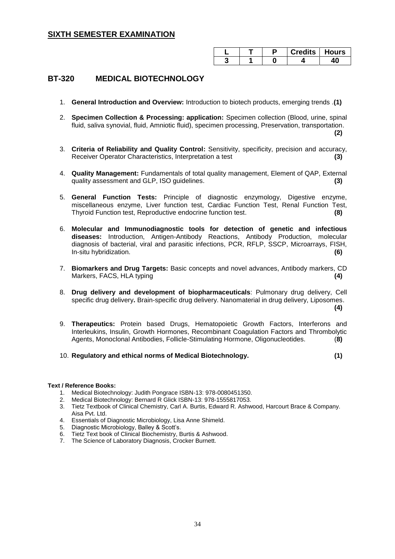|  | <b>Credits   Hours</b> |  |
|--|------------------------|--|
|  |                        |  |

### **BT-320 MEDICAL BIOTECHNOLOGY**

- 1. **General Introduction and Overview:** Introduction to biotech products, emerging trends .**(1)**
- 2. **Specimen Collection & Processing: application:** Specimen collection (Blood, urine, spinal fluid, saliva synovial, fluid, Amniotic fluid), specimen processing, Preservation, transportation. **(2)**
- 3. **Criteria of Reliability and Quality Control:** Sensitivity, specificity, precision and accuracy, Receiver Operator Characteristics, Interpretation a test **(3)**
- 4. **Quality Management:** Fundamentals of total quality management, Element of QAP, External quality assessment and GLP, ISO guidelines. **(3)**
- 5. **General Function Tests:** Principle of diagnostic enzymology, Digestive enzyme, miscellaneous enzyme, Liver function test, Cardiac Function Test, Renal Function Test, Thyroid Function test, Reproductive endocrine function test. **(8)**
- 6. **Molecular and Immunodiagnostic tools for detection of genetic and infectious diseases:** Introduction, Antigen-Antibody Reactions, Antibody Production, molecular diagnosis of bacterial, viral and parasitic infections, PCR, RFLP, SSCP, Microarrays, FISH, In-situ hybridization. **(6)**
- 7. **Biomarkers and Drug Targets:** Basic concepts and novel advances, Antibody markers, CD Markers, FACS, HLA typing **(4)**
- 8. **Drug delivery and development of biopharmaceuticals**: Pulmonary drug delivery, Cell specific drug delivery**.** Brain-specific drug delivery. Nanomaterial in drug delivery, Liposomes.

**(4)** 

- 9. **Therapeutics:** Protein based Drugs, Hematopoietic Growth Factors, Interferons and Interleukins, Insulin, Growth Hormones, Recombinant Coagulation Factors and Thrombolytic Agents, Monoclonal Antibodies, Follicle-Stimulating Hormone, Oligonucleotides. (**8)**
- 10. **Regulatory and ethical norms of Medical Biotechnology. (1)**

- 1. Medical Biotechnology: Judith Pongrace ISBN-13: 978-0080451350.
- 2. Medical Biotechnology: Bernard R Glick ISBN-13: 978-1555817053.
- 3. Tietz Textbook of Clinical Chemistry, Carl A. Burtis, Edward R. Ashwood, Harcourt Brace & Company. Aisa Pvt. Ltd.
- 4. Essentials of Diagnostic Microbiology, Lisa Anne Shimeld.
- 5. Diagnostic Microbiology, Balley & Scott's.
- 6. Tietz Text book of Clinical Biochemistry, Burtis & Ashwood.
- 7. The Science of Laboratory Diagnosis, Crocker Burnett.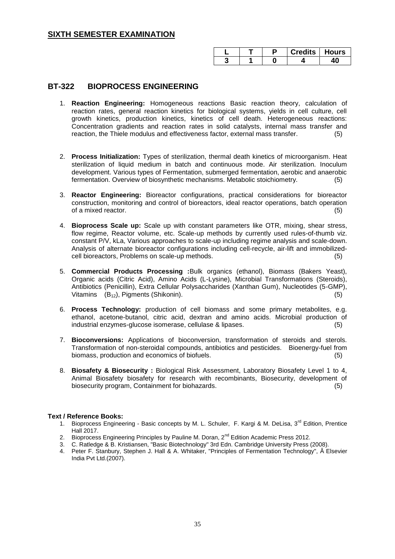|  |  | Credits   Hours |
|--|--|-----------------|
|  |  |                 |

#### **BT-322 BIOPROCESS ENGINEERING**

- 1. **Reaction Engineering:** Homogeneous reactions Basic reaction theory, calculation of reaction rates, general reaction kinetics for biological systems, yields in cell culture, cell growth kinetics, production kinetics, kinetics of cell death. Heterogeneous reactions: Concentration gradients and reaction rates in solid catalysts, internal mass transfer and reaction, the Thiele modulus and effectiveness factor, external mass transfer. (5)
- 2. **Process Initialization:** Types of sterilization, thermal death kinetics of microorganism. Heat sterilization of liquid medium in batch and continuous mode. Air sterilization. Inoculum development. Various types of Fermentation, submerged fermentation, aerobic and anaerobic fermentation. Overview of biosynthetic mechanisms. Metabolic stoichiometry. (5)
- 3. **Reactor Engineering:** Bioreactor configurations, practical considerations for bioreactor construction, monitoring and control of bioreactors, ideal reactor operations, batch operation of a mixed reactor. (5)
- 4. **Bioprocess Scale up:** Scale up with constant parameters like OTR, mixing, shear stress, flow regime, Reactor volume, etc. Scale-up methods by currently used rules-of-thumb viz. constant P/V, kLa, Various approaches to scale-up including regime analysis and scale-down. Analysis of alternate bioreactor configurations including cell-recycle, air-lift and immobilizedcell bioreactors, Problems on scale-up methods. (5)
- 5. **Commercial Products Processing :**Bulk organics (ethanol), Biomass (Bakers Yeast), Organic acids (Citric Acid), Amino Acids (L-Lysine), Microbial Transformations (Steroids), Antibiotics (Penicillin), Extra Cellular Polysaccharides (Xanthan Gum), Nucleotides (5-GMP), Vitamins (B<sub>12</sub>), Pigments (Shikonin). (5)
- 6. **Process Technology:** production of cell biomass and some primary metabolites, e.g. ethanol, acetone-butanol, citric acid, dextran and amino acids. Microbial production of industrial enzymes-glucose isomerase, cellulase & lipases. (5)
- 7. **Bioconversions:** Applications of bioconversion, transformation of steroids and sterols. Transformation of non-steroidal compounds, antibiotics and pesticides. Bioenergy-fuel from biomass, production and economics of biofuels. (5)
- 8. **Biosafety & Biosecurity :** Biological Risk Assessment, Laboratory Biosafety Level 1 to 4, Animal Biosafety biosafety for research with recombinants, Biosecurity, development of biosecurity program, Containment for biohazards. (5)

- 1. Bioprocess Engineering Basic concepts by M. L. Schuler, F. Kargi & M. DeLisa, 3<sup>rd</sup> Edition, Prentice Hall 2017.
- 2. Bioprocess Engineering Principles by Pauline M. Doran, 2<sup>nd</sup> Edition Academic Press 2012.
- 3. C. Ratledge & B. Kristiansen, "Basic Biotechnology" 3rd Edn. Cambridge University Press (2008).
- 4. Peter F. Stanbury, Stephen J. Hall & A. Whitaker, "Principles of Fermentation Technology", Â Elsevier India Pvt Ltd.(2007).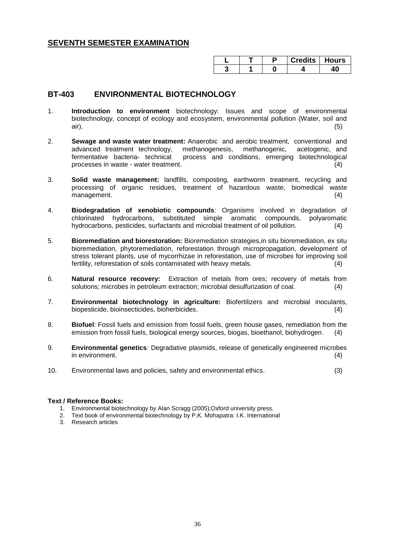|  | Credits   Hours |  |
|--|-----------------|--|
|  |                 |  |

### **BT-403 ENVIRONMENTAL BIOTECHNOLOGY**

- 1. **Introduction to environment** biotechnology: Issues and scope of environmental biotechnology, concept of ecology and ecosystem, environmental pollution (Water, soil and air). (5)
- 2. **Sewage and waste water treatment:** Anaerobic and aerobic treatment, conventional and advanced treatment technology, methanogenesis, methanogenic, acetogenic, and process and conditions, emerging biotechnological processes in waste - water treatment. (4)
- 3. **Solid waste management:** landfills, composting, earthworm treatment, recycling and processing of organic residues, treatment of hazardous waste, biomedical waste management. (4) (1) the contract of the contract of the contract of the contract of the contract of the contract of the contract of the contract of the contract of the contract of the contract of the contract of the contra
- 4. **Biodegradation of xenobiotic compounds**: Organisms involved in degradation of chlorinated hydrocarbons, substituted simple aromatic compounds, polyaromatic hydrocarbons, pesticides, surfactants and microbial treatment of oil pollution. (4)
- 5. **Bioremediation and biorestoration:** Bioremediation strategies,in situ bioremediation, ex situ bioremediation, phytoremediation, reforestation through micropropagation, development of stress tolerant plants, use of mycorrhizae in reforestation, use of microbes for improving soil fertility, reforestation of soils contaminated with heavy metals. (4)
- 6. **Natural resource recovery:** Extraction of metals from ores; recovery of metals from solutions; microbes in petroleum extraction; microbial desulfurization of coal. (4)
- 7. **Environmental biotechnology in agriculture:** Biofertilizers and microbial inoculants, biopesticide, bioinsecticides, bioherbicides. (4)
- 8. **Biofuel**: Fossil fuels and emission from fossil fuels, green house gases, remediation from the emission from fossil fuels, biological energy sources, biogas, bioethanol, biohydrogen. (4)
- 9. **Environmental genetics**: Degradative plasmids, release of genetically engineered microbes in environment. (4)
- 10. Environmental laws and policies, safety and environmental ethics. (3)

- 1. Environmental biotechnology by Alan Scragg (2005);Oxford university press.
- 2. Text book of environmental biotechnology by P.K. Mohapatra: I.K. International
- 3. Research articles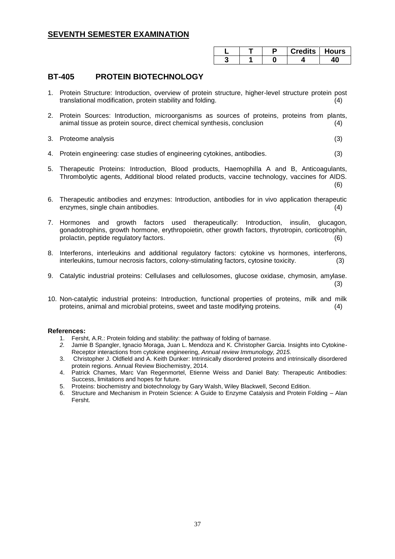|  | Credits   Hours |  |
|--|-----------------|--|
|  |                 |  |

### **BT-405 PROTEIN BIOTECHNOLOGY**

- 1. Protein Structure: Introduction, overview of protein structure, higher-level structure protein post translational modification, protein stability and folding. (4)
- 2. Protein Sources: Introduction, microorganisms as sources of proteins, proteins from plants, animal tissue as protein source, direct chemical synthesis, conclusion (4)
- 3. Proteome analysis (3)
- 4. Protein engineering: case studies of engineering cytokines, antibodies. (3)
- 5. Therapeutic Proteins: Introduction, Blood products, Haemophilla A and B, Anticoagulants, Thrombolytic agents, Additional blood related products, vaccine technology, vaccines for AIDS. (6)
- 6. Therapeutic antibodies and enzymes: Introduction, antibodies for in vivo application therapeutic enzymes, single chain antibodies. (4)
- 7. Hormones and growth factors used therapeutically: Introduction, insulin, glucagon, gonadotrophins, growth hormone, erythropoietin, other growth factors, thyrotropin, corticotrophin, prolactin, peptide regulatory factors. (6)
- 8. Interferons, interleukins and additional regulatory factors: cytokine vs hormones, interferons, interleukins, tumour necrosis factors, colony-stimulating factors, cytosine toxicity. (3)
- 9. Catalytic industrial proteins: Cellulases and cellulosomes, glucose oxidase, chymosin, amylase. (3)
- 10. Non-catalytic industrial proteins: Introduction, functional properties of proteins, milk and milk proteins, animal and microbial proteins, sweet and taste modifying proteins. (4)

#### **References:**

- 1. Fersht, A.R.: Protein folding and stability: the pathway of folding of barnase.
- *2.* Jamie B Spangler, Ignacio Moraga, Juan L. Mendoza and K. Christopher Garcia. Insights into Cytokine-Receptor interactions from cytokine engineering, *Annual review Immunology, 2015.*
- 3. Christopher J. Oldfield and A. Keith Dunker: Intrinsically disordered proteins and intrinsically disordered protein regions. Annual Review Biochemistry, 2014.
- 4. Patrick Chames, Marc Van Regenmortel, Etienne Weiss and Daniel Baty: Therapeutic Antibodies: Success, limitations and hopes for future.
- 5. Proteins: biochemistry and biotechnology by Gary Walsh, Wiley Blackwell, Second Edition.
- 6. Structure and Mechanism in Protein Science: A Guide to Enzyme Catalysis and Protein Folding Alan Fersht.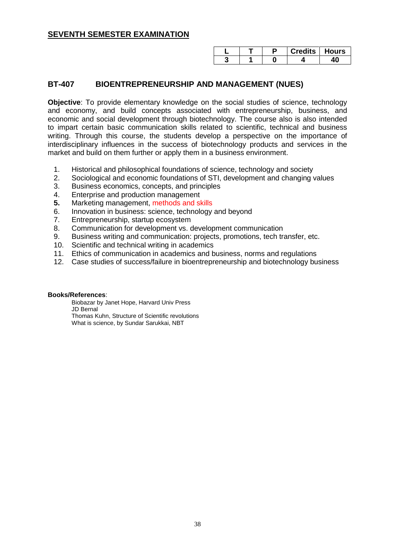|  | $\mathsf{C}$ redits $\mathsf{L}$ , | <b>Hours</b> |
|--|------------------------------------|--------------|
|  |                                    |              |

### **BT-407 BIOENTREPRENEURSHIP AND MANAGEMENT (NUES)**

**Objective**: To provide elementary knowledge on the social studies of science, technology and economy, and build concepts associated with entrepreneurship, business, and economic and social development through biotechnology. The course also is also intended to impart certain basic communication skills related to scientific, technical and business writing. Through this course, the students develop a perspective on the importance of interdisciplinary influences in the success of biotechnology products and services in the market and build on them further or apply them in a business environment.

- 1. Historical and philosophical foundations of science, technology and society
- 2. Sociological and economic foundations of STI, development and changing values
- 3. Business economics, concepts, and principles
- 4. Enterprise and production management
- **5.** Marketing management, methods and skills
- 6. Innovation in business: science, technology and beyond
- 7. Entrepreneurship, startup ecosystem
- 8. Communication for development vs. development communication
- 9. Business writing and communication: projects, promotions, tech transfer, etc.
- 10. Scientific and technical writing in academics
- 11. Ethics of communication in academics and business, norms and regulations
- 12. Case studies of success/failure in bioentrepreneurship and biotechnology business

#### **Books/References**:

Biobazar by Janet Hope, Harvard Univ Press JD Bernal Thomas Kuhn, Structure of Scientific revolutions What is science, by Sundar Sarukkai, NBT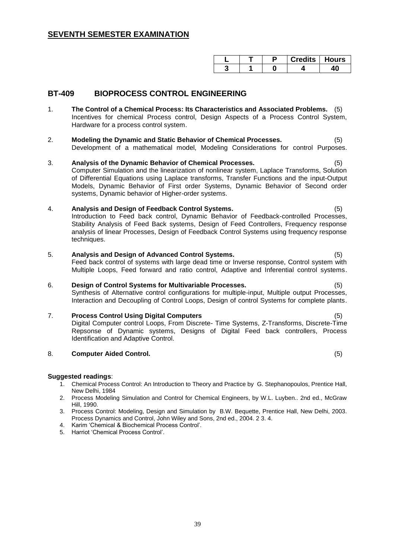|  | redits i | Hours |
|--|----------|-------|
|  |          |       |

### **BT-409 BIOPROCESS CONTROL ENGINEERING**

- 1. **The Control of a Chemical Process: Its Characteristics and Associated Problems.** (5) Incentives for chemical Process control, Design Aspects of a Process Control System, Hardware for a process control system.
- 2. **Modeling the Dynamic and Static Behavior of Chemical Processes.** (5) Development of a mathematical model, Modeling Considerations for control Purposes.

#### 3. Analysis of the Dynamic Behavior of Chemical Processes. Computer Simulation and the linearization of nonlinear system, Laplace Transforms, Solution of Differential Equations using Laplace transforms, Transfer Functions and the input-Output Models, Dynamic Behavior of First order Systems, Dynamic Behavior of Second order systems, Dynamic behavior of Higher-order systems.

#### 4. **Analysis and Design of Feedback Control Systems.** (5)

Introduction to Feed back control, Dynamic Behavior of Feedback-controlled Processes, Stability Analysis of Feed Back systems, Design of Feed Controllers, Frequency response analysis of linear Processes, Design of Feedback Control Systems using frequency response techniques.

#### 5. **Analysis and Design of Advanced Control Systems.** (5)

Feed back control of systems with large dead time or Inverse response, Control system with Multiple Loops, Feed forward and ratio control, Adaptive and Inferential control systems.

#### 6. **Design of Control Systems for Multivariable Processes.** (5)

Synthesis of Alternative control configurations for multiple-input, Multiple output Processes, Interaction and Decoupling of Control Loops, Design of control Systems for complete plants.

#### 7. **Process Control Using Digital Computers** (5)

Digital Computer control Loops, From Discrete- Time Systems, Z-Transforms, Discrete-Time Repsonse of Dynamic systems, Designs of Digital Feed back controllers, Process Identification and Adaptive Control.

#### 8. **Computer Aided Control.** (5)

#### **Suggested readings**:

- 1. Chemical Process Control: An Introduction to Theory and Practice by G. Stephanopoulos, Prentice Hall, New Delhi, 1984
- 2. Process Modeling Simulation and Control for Chemical Engineers, by W.L. Luyben.. 2nd ed., McGraw Hill, 1990.
- 3. Process Control: Modeling, Design and Simulation by B.W. Bequette, Prentice Hall, New Delhi, 2003. Process Dynamics and Control, John Wiley and Sons, 2nd ed., 2004. 2 3. 4.
- 4. Karim ‗Chemical & Biochemical Process Control'.
- 5. Harriot 'Chemical Process Control'.

- 
-